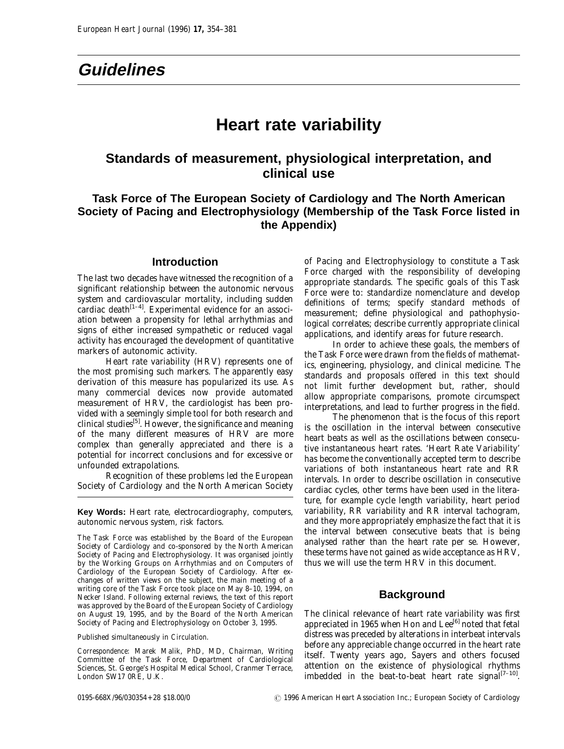# **Guidelines**

# **Heart rate variability**

# **Standards of measurement, physiological interpretation, and clinical use**

# **Task Force of The European Society of Cardiology and The North American Society of Pacing and Electrophysiology (Membership of the Task Force listed in the Appendix)**

### **Introduction**

The last two decades have witnessed the recognition of a significant relationship between the autonomic nervous system and cardiovascular mortality, including sudden cardiac death $[1-4]$ . Experimental evidence for an association between a propensity for lethal arrhythmias and signs of either increased sympathetic or reduced vagal activity has encouraged the development of quantitative markers of autonomic activity.

Heart rate variability (HRV) represents one of the most promising such markers. The apparently easy derivation of this measure has popularized its use. As many commercial devices now provide automated measurement of HRV, the cardiologist has been provided with a seemingly simple tool for both research and clinical studies<sup>[5]</sup>. However, the significance and meaning of the many different measures of HRV are more complex than generally appreciated and there is a potential for incorrect conclusions and for excessive or unfounded extrapolations.

Recognition of these problems led the European Society of Cardiology and the North American Society

**Key Words:** Heart rate, electrocardiography, computers, autonomic nervous system, risk factors.

The Task Force was established by the Board of the European Society of Cardiology and co-sponsored by the North American Society of Pacing and Electrophysiology. It was organised jointly by the Working Groups on Arrhythmias and on Computers of Cardiology of the European Society of Cardiology. After exchanges of written views on the subject, the main meeting of a writing core of the Task Force took place on May 8–10, 1994, on Necker Island. Following external reviews, the text of this report was approved by the Board of the European Society of Cardiology on August 19, 1995, and by the Board of the North American Society of Pacing and Electrophysiology on October 3, 1995.

#### Published simultaneously in *Circulation*.

*Correspondence:* Marek Malik, PhD, MD, Chairman, Writing Committee of the Task Force, Department of Cardiological Sciences, St. George's Hospital Medical School, Cranmer Terrace, London SW17 0RE, U.K.

of Pacing and Electrophysiology to constitute a Task Force charged with the responsibility of developing appropriate standards. The specific goals of this Task Force were to: standardize nomenclature and develop definitions of terms; specify standard methods of measurement; define physiological and pathophysiological correlates; describe currently appropriate clinical applications, and identify areas for future research.

In order to achieve these goals, the members of the Task Force were drawn from the fields of mathematics, engineering, physiology, and clinical medicine. The standards and proposals offered in this text should not limit further development but, rather, should allow appropriate comparisons, promote circumspect interpretations, and lead to further progress in the field.

The phenomenon that is the focus of this report is the oscillation in the interval between consecutive heart beats as well as the oscillations between consecutive instantaneous heart rates. 'Heart Rate Variability' has become the conventionally accepted term to describe variations of both instantaneous heart rate and RR intervals. In order to describe oscillation in consecutive cardiac cycles, other terms have been used in the literature, for example cycle length variability, heart period variability, RR variability and RR interval tachogram, and they more appropriately emphasize the fact that it is the interval between consecutive beats that is being analysed rather than the heart rate per se. However, these terms have not gained as wide acceptance as HRV, thus we will use the term HRV in this document.

### **Background**

The clinical relevance of heart rate variability was first appreciated in 1965 when Hon and Lee<sup>[6]</sup> noted that fetal distress was preceded by alterations in interbeat intervals before any appreciable change occurred in the heart rate itself. Twenty years ago, Sayers and others focused attention on the existence of physiological rhythms imbedded in the beat-to-beat heart rate signal $[7-10]$ .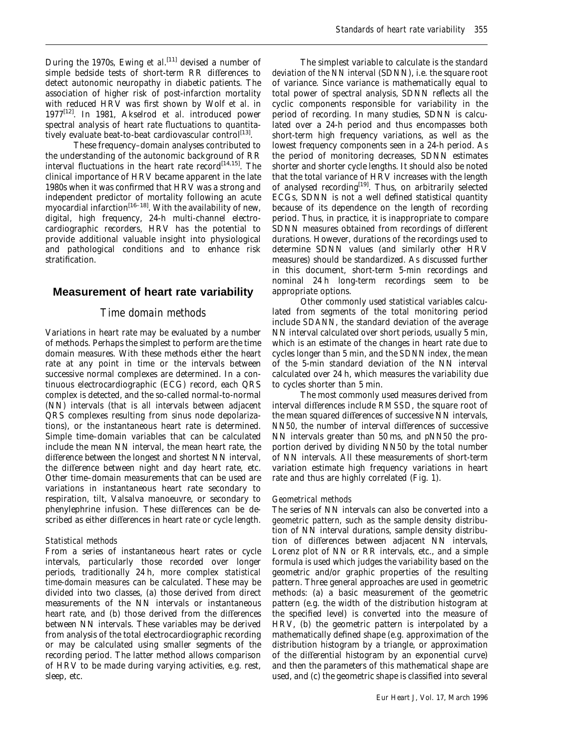During the 1970s, Ewing et al.<sup>[11]</sup> devised a number of simple bedside tests of short-term RR differences to detect autonomic neuropathy in diabetic patients. The association of higher risk of post-infarction mortality with reduced HRV was first shown by Wolf *et al*. in 1977[12]. In 1981, Akselrod *et al*. introduced power spectral analysis of heart rate fluctuations to quantitatively evaluate beat-to-beat cardiovascular control $^{[13]}$ .

These frequency–domain analyses contributed to the understanding of the autonomic background of RR interval fluctuations in the heart rate  $record^{[14,15]}$ . The clinical importance of HRV became apparent in the late 1980s when it was confirmed that HRV was a strong and independent predictor of mortality following an acute myocardial infarction<sup>[16-18]</sup>. With the availability of new, digital, high frequency, 24-h multi-channel electrocardiographic recorders, HRV has the potential to provide additional valuable insight into physiological and pathological conditions and to enhance risk stratification.

### **Measurement of heart rate variability**

# *Time domain methods*

Variations in heart rate may be evaluated by a number of methods. Perhaps the simplest to perform are the time domain measures. With these methods either the heart rate at any point in time or the intervals between successive normal complexes are determined. In a continuous electrocardiographic (ECG) record, each QRS complex is detected, and the so-called normal-to-normal (NN) intervals (that is all intervals between adjacent QRS complexes resulting from sinus node depolarizations), or the instantaneous heart rate is determined. Simple time–domain variables that can be calculated include the mean NN interval, the mean heart rate, the difference between the longest and shortest NN interval, the difference between night and day heart rate, etc. Other time–domain measurements that can be used are variations in instantaneous heart rate secondary to respiration, tilt, Valsalva manoeuvre, or secondary to phenylephrine infusion. These differences can be described as either differences in heart rate or cycle length.

### *Statistical methods*

From a series of instantaneous heart rates or cycle intervals, particularly those recorded over longer periods, traditionally 24 h, more complex *statistical time-domain measures* can be calculated. These may be divided into two classes, (a) those derived from direct measurements of the NN intervals or instantaneous heart rate, and (b) those derived from the differences between NN intervals. These variables may be derived from analysis of the total electrocardiographic recording or may be calculated using smaller segments of the recording period. The latter method allows comparison of HRV to be made during varying activities, e.g. rest, sleep, etc.

The simplest variable to calculate is the *standard deviation of the NN interval* (SDNN), i.e. the square root of variance. Since variance is mathematically equal to total power of spectral analysis, SDNN reflects all the cyclic components responsible for variability in the period of recording. In many studies, SDNN is calculated over a 24-h period and thus encompasses both short-term high frequency variations, as well as the lowest frequency components seen in a 24-h period. As the period of monitoring decreases, SDNN estimates shorter and shorter cycle lengths. It should also be noted that the total variance of HRV increases with the length of analysed recording<sup>[19]</sup>. Thus, on arbitrarily selected ECGs, SDNN is not a well defined statistical quantity because of its dependence on the length of recording period. Thus, in practice, it is inappropriate to compare SDNN measures obtained from recordings of different durations. However, durations of the recordings used to determine SDNN values (and similarly other HRV measures) should be standardized. As discussed further in this document, short-term 5-min recordings and nominal 24 h long-term recordings seem to be appropriate options.

Other commonly used statistical variables calculated from segments of the total monitoring period include *SDANN*, the standard deviation of the average NN interval calculated over short periods, usually 5 min, which is an estimate of the changes in heart rate due to cycles longer than 5 min, and the *SDNN index*, the mean of the 5-min standard deviation of the NN interval calculated over 24 h, which measures the variability due to cycles shorter than 5 min.

The most commonly used measures derived from interval differences include *RMSSD*, the square root of the mean squared differences of successive NN intervals, *NN50*, the number of interval differences of successive NN intervals greater than 50 ms, and *pNN50* the proportion derived by dividing NN50 by the total number of NN intervals. All these measurements of short-term variation estimate high frequency variations in heart rate and thus are highly correlated (Fig. 1).

#### *Geometrical methods*

The series of NN intervals can also be converted into a *geometric pattern*, such as the sample density distribution of NN interval durations, sample density distribution of differences between adjacent NN intervals, Lorenz plot of NN or RR intervals, etc., and a simple formula is used which judges the variability based on the geometric and/or graphic properties of the resulting pattern. Three general approaches are used in geometric methods: (a) a basic measurement of the geometric pattern (e.g. the width of the distribution histogram at the specified level) is converted into the measure of HRV, (b) the geometric pattern is interpolated by a mathematically defined shape (e.g. approximation of the distribution histogram by a triangle, or approximation of the differential histogram by an exponential curve) and then the parameters of this mathematical shape are used, and (c) the geometric shape is classified into several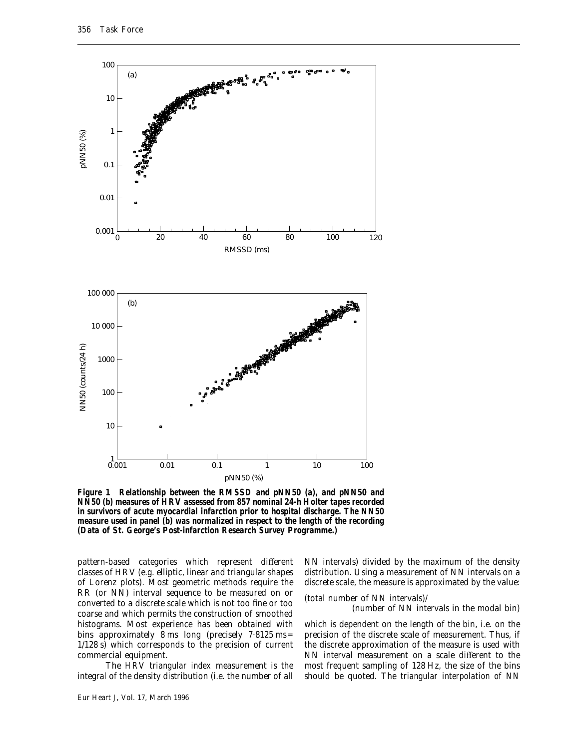

*Figure 1* **Relationship between the RMSSD and pNN50 (a), and pNN50 and NN50 (b) measures of HRV assessed from 857 nominal 24-h Holter tapes recorded in survivors of acute myocardial infarction prior to hospital discharge. The NN50 measure used in panel (b) was normalized in respect to the length of the recording (Data of St. George's Post-infarction Research Survey Programme.)**

pattern-based categories which represent different classes of HRV (e.g. elliptic, linear and triangular shapes of Lorenz plots). Most geometric methods require the RR (or NN) interval sequence to be measured on or converted to a discrete scale which is not too fine or too coarse and which permits the construction of smoothed histograms. Most experience has been obtained with bins approximately 8 ms long (precisely 7·8125 ms= 1/128 s) which corresponds to the precision of current commercial equipment.

The *HRV triangular index* measurement is the integral of the density distribution (i.e. the number of all

Eur Heart J, Vol. 17, March 1996

NN intervals) divided by the maximum of the density distribution. Using a measurement of NN intervals on a discrete scale, the measure is approximated by the value:

(total number of NN intervals)/

(number of NN intervals in the modal bin)

which is dependent on the length of the bin, i.e. on the precision of the discrete scale of measurement. Thus, if the discrete approximation of the measure is used with NN interval measurement on a scale different to the most frequent sampling of 128 Hz, the size of the bins should be quoted. The *triangular interpolation of NN*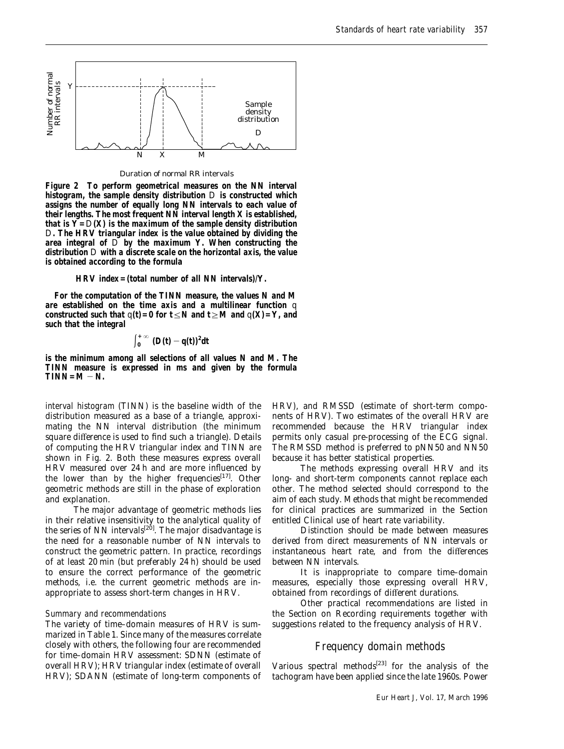

#### Duration of normal RR intervals

*Figure 2* **To perform geometrical measures on the NN interval histogram, the sample density distribution** D **is constructed which assigns the number of equally long NN intervals to each value of their lengths. The most frequent NN interval length** *X* **is established,** that is  $\tilde{Y} = D(X)$  is the maximum of the sample density distribution D**. The HRV triangular index is the value obtained by dividing the** area integral of  $\overrightarrow{D}$  by the maximum *Y*. When constructing the **distribution** D **with a discrete scale on the horizontal axis, the value is obtained according to the formula**

**HRV index=(total number of all NN intervals)/***Y***.**

**For the computation of the TINN measure, the values** *N* **and** *M* **are established on the time axis and a multilinear function** q **constructed such that**  $q(t) = 0$  for  $t \leq N$  and  $t \geq M$  and  $q(X) = Y$ , and **such that the integral**

$$
\int_0^{+\infty} (D(t)-q(t))^2 dt
$$

**is the minimum among all selections of all values** *N* **and** *M***. The TINN measure is expressed in ms and given by the formula TINN**= $M - N$ .

*interval histogram* (TINN) is the baseline width of the distribution measured as a base of a triangle, approximating the NN interval distribution (the minimum square difference is used to find such a triangle). Details of computing the HRV triangular index and TINN are shown in Fig. 2. Both these measures express overall HRV measured over 24 h and are more influenced by the lower than by the higher frequencies<sup>[17]</sup>. Other geometric methods are still in the phase of exploration and explanation.

The major advantage of geometric methods lies in their relative insensitivity to the analytical quality of the series of NN intervals<sup>[20]</sup>. The major disadvantage is the need for a reasonable number of NN intervals to construct the geometric pattern. In practice, recordings of at least 20 min (but preferably 24 h) should be used to ensure the correct performance of the geometric methods, i.e. the current geometric methods are inappropriate to assess short-term changes in HRV.

#### *Summary and recommendations*

The variety of time–domain measures of HRV is summarized in Table 1. Since many of the measures correlate closely with others, the following four are recommended for time–domain HRV assessment: SDNN (estimate of overall HRV); HRV triangular index (estimate of overall HRV); SDANN (estimate of long-term components of

HRV), and RMSSD (estimate of short-term components of HRV). Two estimates of the overall HRV are recommended because the HRV triangular index permits only casual pre-processing of the ECG signal. The RMSSD method is preferred to pNN50 and NN50 because it has better statistical properties.

The methods expressing overall HRV and its long- and short-term components cannot replace each other. The method selected should correspond to the aim of each study. Methods that might be recommended for clinical practices are summarized in the Section entitled Clinical use of heart rate variability.

Distinction should be made between measures derived from direct measurements of NN intervals or instantaneous heart rate, and from the differences between NN intervals.

It is inappropriate to compare time–domain measures, especially those expressing overall HRV, obtained from recordings of different durations.

Other practical recommendations are listed in the Section on Recording requirements together with suggestions related to the frequency analysis of HRV.

# *Frequency domain methods*

Various spectral methods<sup>[23]</sup> for the analysis of the tachogram have been applied since the late 1960s. Power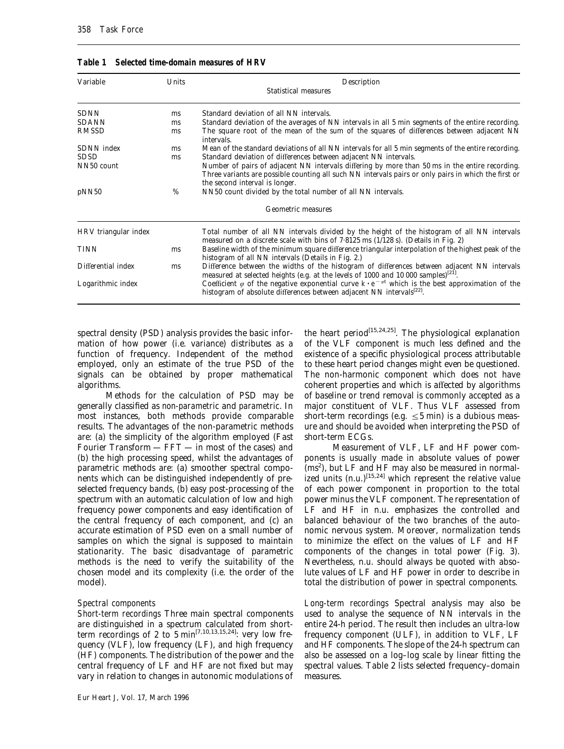| Variable             | Units | Description<br><b>Statistical measures</b>                                                                                                                                                                                               |  |  |
|----------------------|-------|------------------------------------------------------------------------------------------------------------------------------------------------------------------------------------------------------------------------------------------|--|--|
| <b>SDNN</b>          | ms    | Standard deviation of all NN intervals.                                                                                                                                                                                                  |  |  |
| SDANN                | ms    | Standard deviation of the averages of NN intervals in all 5 min segments of the entire recording.                                                                                                                                        |  |  |
| <b>RMSSD</b>         | ms    | The square root of the mean of the sum of the squares of differences between adjacent NN<br>intervals.                                                                                                                                   |  |  |
| <b>SDNN</b> index    | ms    | Mean of the standard deviations of all NN intervals for all 5 min segments of the entire recording.                                                                                                                                      |  |  |
| <b>SDSD</b>          | ms    | Standard deviation of differences between adjacent NN intervals.                                                                                                                                                                         |  |  |
| NN50 count           |       | Number of pairs of adjacent NN intervals differing by more than 50 ms in the entire recording.<br>Three variants are possible counting all such NN intervals pairs or only pairs in which the first or<br>the second interval is longer. |  |  |
| pNN50                | %     | NN50 count divided by the total number of all NN intervals.                                                                                                                                                                              |  |  |
|                      |       | Geometric measures                                                                                                                                                                                                                       |  |  |
| HRV triangular index |       | Total number of all NN intervals divided by the height of the histogram of all NN intervals<br>measured on a discrete scale with bins of $7.8125$ ms $(1/128 s)$ . (Details in Fig. 2)                                                   |  |  |
| <b>TINN</b>          | ms    | Baseline width of the minimum square difference triangular interpolation of the highest peak of the<br>histogram of all NN intervals (Details in Fig. 2.)                                                                                |  |  |
| Differential index   | ms    | Difference between the widths of the histogram of differences between adjacent NN intervals<br>measured at selected heights (e.g. at the levels of 1000 and 10 000 samples) <sup>[21]</sup> .                                            |  |  |
| Logarithmic index    |       | Coefficient $\varphi$ of the negative exponential curve $k \cdot e^{-\varphi t}$ which is the best approximation of the<br>histogram of absolute differences between adjacent NN intervals <sup>[22]</sup> .                             |  |  |

*Table 1 Selected time-domain measures of HRV*

spectral density (PSD) analysis provides the basic information of how power (i.e. variance) distributes as a function of frequency. Independent of the method employed, only an estimate of the true PSD of the signals can be obtained by proper mathematical algorithms.

Methods for the calculation of PSD may be generally classified as *non-parametric* and *parametric*. In most instances, both methods provide comparable results. The advantages of the non-parametric methods are: (a) the simplicity of the algorithm employed (Fast Fourier Transform — FFT — in most of the cases) and (b) the high processing speed, whilst the advantages of parametric methods are: (a) smoother spectral components which can be distinguished independently of preselected frequency bands, (b) easy post-processing of the spectrum with an automatic calculation of low and high frequency power components and easy identification of the central frequency of each component, and (c) an accurate estimation of PSD even on a small number of samples on which the signal is supposed to maintain stationarity. The basic disadvantage of parametric methods is the need to verify the suitability of the chosen model and its complexity (i.e. the order of the model).

### *Spectral components*

*Short-term recordings* Three main spectral components are distinguished in a spectrum calculated from shortterm recordings of 2 to 5  $min^{[7,10,13,15,24]}$ : very low frequency (VLF), low frequency (LF), and high frequency (HF) components. The distribution of the power and the central frequency of LF and HF are not fixed but may vary in relation to changes in autonomic modulations of

the heart period<sup>[15,24,25]</sup>. The physiological explanation of the VLF component is much less defined and the existence of a specific physiological process attributable to these heart period changes might even be questioned. The non-harmonic component which does not have coherent properties and which is affected by algorithms of baseline or trend removal is commonly accepted as a major constituent of VLF. Thus VLF assessed from short-term recordings (e.g.  $\leq$ 5 min) is a dubious measure and should be avoided when interpreting the PSD of short-term ECGs.

Measurement of VLF, LF and HF power components is usually made in absolute values of power  $\rm (ms<sup>2</sup>)$ , but LF and HF may also be measured in normalized units  $(n.u.)$ <sup>[15,24]</sup> which represent the relative value of each power component in proportion to the total power minus the VLF component. The representation of LF and HF in n.u. emphasizes the controlled and balanced behaviour of the two branches of the autonomic nervous system. Moreover, normalization tends to minimize the effect on the values of LF and HF components of the changes in total power (Fig. 3). Nevertheless, n.u. should always be quoted with absolute values of LF and HF power in order to describe in total the distribution of power in spectral components.

*Long-term recordings* Spectral analysis may also be used to analyse the sequence of NN intervals in the entire 24-h period. The result then includes an ultra-low frequency component (ULF), in addition to VLF, LF and HF components. The slope of the 24-h spectrum can also be assessed on a log–log scale by linear fitting the spectral values. Table 2 lists selected frequency–domain measures.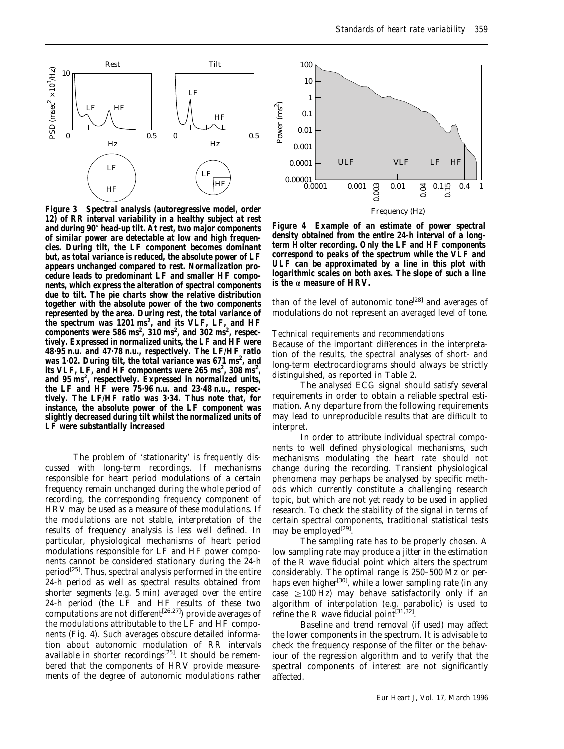

*Figure 3* **Spectral analysis (autoregressive model, order 12) of RR interval variability in a healthy subject at rest and during 90**) **head-up tilt. At rest, two major components of similar power are detectable at low and high frequencies. During tilt, the LF component becomes dominant but, as total variance is reduced, the absolute power of LF appears unchanged compared to rest. Normalization procedure leads to predominant LF and smaller HF components, which express the alteration of spectral components due to tilt. The pie charts show the relative distribution together with the absolute power of the two components represented by the area. During rest, the total variance of the spectrum was 1201 ms2 , and its VLF, LF, and HF components were 586 ms<sup>2</sup> , 310 ms<sup>2</sup> , and 302 ms<sup>2</sup> , respectively. Expressed in normalized units, the LF and HF were 48·95 n.u. and 47·78 n.u., respectively. The LF/HF ratio** was 1 $\cdot$ 02. During tilt, the total variance was 671 ms<sup>2</sup>, and its VLF, LF, and HF components were 265 ms<sup>2</sup>, 308 ms<sup>2</sup>, **and 95 ms2 , respectively. Expressed in normalized units, the LF and HF were 75·96 n.u. and 23·48 n.u., respectively. The LF/HF ratio was 3·34. Thus note that, for instance, the absolute power of the LF component was slightly decreased during tilt whilst the normalized units of LF were substantially increased**

The problem of 'stationarity' is frequently discussed with long-term recordings. If mechanisms responsible for heart period modulations of a certain frequency remain unchanged during the whole period of recording, the corresponding frequency component of HRV may be used as a measure of these modulations. If the modulations are not stable, interpretation of the results of frequency analysis is less well defined. In particular, physiological mechanisms of heart period modulations responsible for LF and HF power components cannot be considered stationary during the 24-h period<sup>[25]</sup>. Thus, spectral analysis performed in the entire 24-h period as well as spectral results obtained from shorter segments (e.g. 5 min) averaged over the entire 24-h period (the LF and HF results of these two computations are not different<sup>[26,27]</sup>) provide averages of the modulations attributable to the LF and HF components (Fig. 4). Such averages obscure detailed information about autonomic modulation of RR intervals available in shorter recordings $[25]$ . It should be remembered that the components of HRV provide measurements of the degree of autonomic modulations rather



*Figure 4* **Example of an estimate of power spectral density obtained from the entire 24-h interval of a longterm Holter recording. Only the LF and HF components correspond to peaks of the spectrum while the VLF and ULF can be approximated by a line in this plot with logarithmic scales on both axes. The slope of such a line is the á measure of HRV.**

than of the level of autonomic tone<sup>[28]</sup> and averages of modulations do not represent an averaged level of tone.

#### *Technical requirements and recommendations*

Because of the important differences in the interpretation of the results, the spectral analyses of short- and long-term electrocardiograms should always be strictly distinguished, as reported in Table 2.

The analysed ECG signal should satisfy several requirements in order to obtain a reliable spectral estimation. Any departure from the following requirements may lead to unreproducible results that are difficult to interpret.

In order to attribute individual spectral components to well defined physiological mechanisms, such mechanisms modulating the heart rate should not change during the recording. Transient physiological phenomena may perhaps be analysed by specific methods which currently constitute a challenging research topic, but which are not yet ready to be used in applied research. To check the stability of the signal in terms of certain spectral components, traditional statistical tests may be employed<sup>[29]</sup>.

The sampling rate has to be properly chosen. A low sampling rate may produce a jitter in the estimation of the R wave fiducial point which alters the spectrum considerably. The optimal range is 250–500 Mz or perhaps even higher<sup>[30]</sup>, while a lower sampling rate (in any case  $\geq$ 100 Hz) may behave satisfactorily only if an algorithm of interpolation (e.g. parabolic) is used to refine the R wave fiducial point  $[31,32]$ .

Baseline and trend removal (if used) may affect the lower components in the spectrum. It is advisable to check the frequency response of the filter or the behaviour of the regression algorithm and to verify that the spectral components of interest are not significantly affected.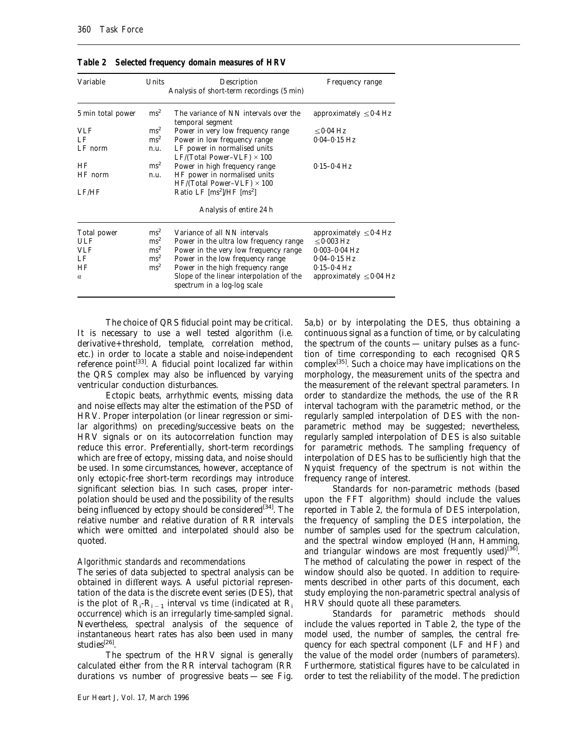| Variable                  | Units                          | Description<br>Analysis of short-term recordings (5 min)                        | Frequency range                      |
|---------------------------|--------------------------------|---------------------------------------------------------------------------------|--------------------------------------|
| 5 min total power         | $\text{ms}^2$                  | The variance of NN intervals over the<br>temporal segment                       | approximately $\leq 0.4$ Hz          |
| <b>VLF</b>                | $\text{ms}^2$                  | Power in very low frequency range                                               | $<$ 0.04 Hz                          |
| LF                        | $\text{ms}^2$                  | Power in low frequency range                                                    | $0.04 - 0.15$ Hz                     |
| LF norm                   | n.u.                           | LF power in normalised units<br>LF/(Total Power–VLF) $\times$ 100               |                                      |
| HF                        | $\text{ms}^2$                  | Power in high frequency range                                                   | $0.15 - 0.4$ Hz                      |
| HF norm                   | n.u.                           | HF power in normalised units<br>HF/(Total Power-VLF) $\times$ 100               |                                      |
| LF/HF                     |                                | Ratio LF $\text{[ms}^2\text{/HF} \text{[ms}^2]$                                 |                                      |
|                           |                                | Analysis of entire 24 h                                                         |                                      |
| Total power<br><b>ULF</b> | $\text{ms}^2$<br>$\text{ms}^2$ | Variance of all NN intervals                                                    | approximately $\leq 0.4$ Hz          |
| <b>VLF</b>                | $\text{ms}^2$                  | Power in the ultra low frequency range<br>Power in the very low frequency range | $\leq$ 0.003 Hz<br>$0.003 - 0.04$ Hz |
| LF                        | $\text{ms}^2$                  | Power in the low frequency range                                                | $0.04 - 0.15$ Hz                     |
| HF                        | $\text{ms}^2$                  | Power in the high frequency range                                               | $0.15 - 0.4$ Hz                      |
| $\alpha$                  |                                | Slope of the linear interpolation of the<br>spectrum in a log-log scale         | approximately $\leq 0.04$ Hz         |

*Table 2 Selected frequency domain measures of HRV*

The choice of QRS fiducial point may be critical. It is necessary to use a well tested algorithm (i.e. derivative+threshold, template, correlation method, etc.) in order to locate a stable and noise-independent reference point<sup>[33]</sup>. A fiducial point localized far within the QRS complex may also be influenced by varying ventricular conduction disturbances.

Ectopic beats, arrhythmic events, missing data and noise effects may alter the estimation of the PSD of HRV. Proper interpolation (or linear regression or similar algorithms) on preceding/successive beats on the HRV signals or on its autocorrelation function may reduce this error. Preferentially, short-term recordings which are free of ectopy, missing data, and noise should be used. In some circumstances, however, acceptance of only ectopic-free short-term recordings may introduce significant selection bias. In such cases, proper interpolation should be used and the possibility of the results being influenced by ectopy should be considered<sup>[34]</sup>. The relative number and relative duration of RR intervals which were omitted and interpolated should also be quoted.

### *Algorithmic standards and recommendations*

The series of data subjected to spectral analysis can be obtained in different ways. A useful pictorial representation of the data is the discrete event series (DES), that is the plot of  $R_i$ - $R_{i-1}$  interval vs time (indicated at  $R_i$ occurrence) which is an irregularly time-sampled signal. Nevertheless, spectral analysis of the sequence of instantaneous heart rates has also been used in many studies[26]

The spectrum of the HRV signal is generally calculated either from the RR interval tachogram (RR durations vs number of progressive beats — see Fig.

5a,b) or by interpolating the DES, thus obtaining a continuous signal as a function of time, or by calculating the spectrum of the counts — unitary pulses as a function of time corresponding to each recognised QRS complex[35]. Such a choice may have implications on the morphology, the measurement units of the spectra and the measurement of the relevant spectral parameters. In order to standardize the methods, the use of the RR interval tachogram with the parametric method, or the regularly sampled interpolation of DES with the nonparametric method may be suggested; nevertheless, regularly sampled interpolation of DES is also suitable for parametric methods. The sampling frequency of interpolation of DES has to be sufficiently high that the Nyquist frequency of the spectrum is not within the frequency range of interest.

Standards for non-parametric methods (based upon the FFT algorithm) should include the values reported in Table 2, the formula of DES interpolation, the frequency of sampling the DES interpolation, the number of samples used for the spectrum calculation, and the spectral window employed (Hann, Hamming, and triangular windows are most frequently used)<sup>[36]</sup>. The method of calculating the power in respect of the window should also be quoted. In addition to requirements described in other parts of this document, each study employing the non-parametric spectral analysis of HRV should quote all these parameters.

Standards for parametric methods should include the values reported in Table 2, the type of the model used, the number of samples, the central frequency for each spectral component (LF and HF) and the value of the model order (numbers of parameters). Furthermore, statistical figures have to be calculated in order to test the reliability of the model. The prediction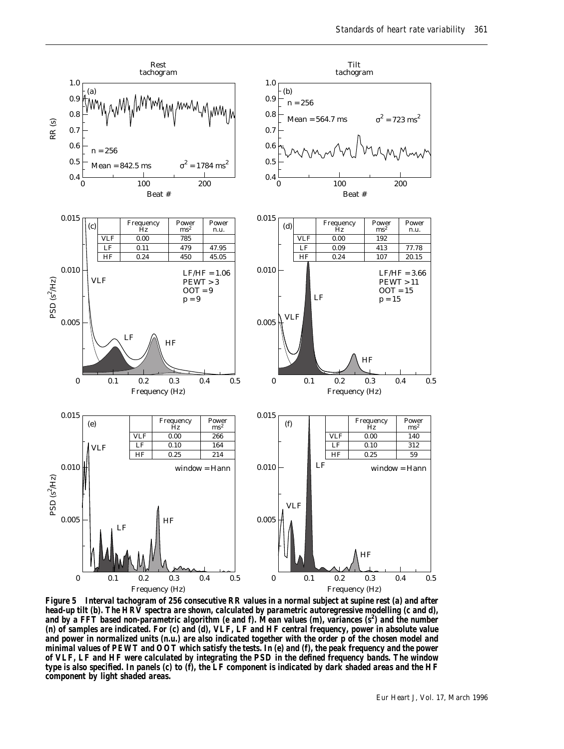

*Figure 5* **Interval tachogram of 256 consecutive RR values in a normal subject at supine rest (a) and after head-up tilt (b). The HRV spectra are shown, calculated by parametric autoregressive modelling (c and d),** and by a FFT based non-parametric algorithm (e and f). Mean values (m), variances (s<sup>2</sup>) and the number **(n) of samples are indicated. For (c) and (d), VLF, LF and HF central frequency, power in absolute value and power in normalized units (n.u.) are also indicated together with the order p of the chosen model and minimal values of PEWT and OOT which satisfy the tests. In (e) and (f), the peak frequency and the power of VLF, LF and HF were calculated by integrating the PSD in the defined frequency bands. The window type is also specified. In panels (c) to (f), the LF component is indicated by dark shaded areas and the HF component by light shaded areas.**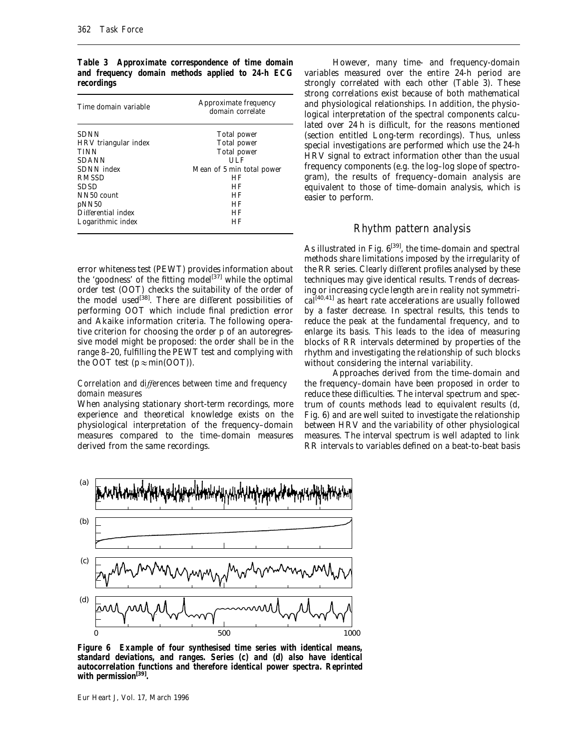*Table 3 Approximate correspondence of time domain and frequency domain methods applied to 24-h ECG recordings*

| Time domain variable | Approximate frequency<br>domain correlate |  |
|----------------------|-------------------------------------------|--|
| <b>SDNN</b>          | Total power                               |  |
| HRV triangular index | Total power                               |  |
| <b>TINN</b>          | Total power                               |  |
| <b>SDANN</b>         | ULF                                       |  |
| <b>SDNN</b> index    | Mean of 5 min total power                 |  |
| <b>RMSSD</b>         | НF                                        |  |
| <b>SDSD</b>          | НF                                        |  |
| NN50 count           | НF                                        |  |
| pNN50                | HF                                        |  |
| Differential index   | НF                                        |  |
| Logarithmic index    | НF                                        |  |

error whiteness test (PEWT) provides information about the 'goodness' of the fitting model<sup>[37]</sup> while the optimal order test (OOT) checks the suitability of the order of the model used<sup>[38]</sup>. There are different possibilities of performing OOT which include final prediction error and Akaike information criteria. The following operative criterion for choosing the order p of an autoregressive model might be proposed: the order shall be in the range 8–20, fulfilling the PEWT test and complying with the OOT test  $(p \approx min(OOT))$ .

### *Correlation and differences between time and frequency domain measures*

When analysing stationary short-term recordings, more experience and theoretical knowledge exists on the physiological interpretation of the frequency–domain measures compared to the time–domain measures derived from the same recordings.



*Figure 6* **Example of four synthesised time series with identical means, standard deviations, and ranges. Series (c) and (d) also have identical autocorrelation functions and therefore identical power spectra. Reprinted** with permission<sup>[39]</sup>.

However, many time- and frequency-domain variables measured over the entire 24-h period are strongly correlated with each other (Table 3). These strong correlations exist because of both mathematical and physiological relationships. In addition, the physiological interpretation of the spectral components calculated over 24 h is difficult, for the reasons mentioned (section entitled Long-term recordings). Thus, unless special investigations are performed which use the 24-h HRV signal to extract information other than the usual frequency components (e.g. the log–log slope of spectrogram), the results of frequency–domain analysis are equivalent to those of time–domain analysis, which is easier to perform.

### *Rhythm pattern analysis*

As illustrated in Fig.  $6^{[39]}$ , the time-domain and spectral methods share limitations imposed by the irregularity of the RR series. Clearly different profiles analysed by these techniques may give identical results. Trends of decreasing or increasing cycle length are in reality not symmetri $cal[40,41]$  as heart rate accelerations are usually followed by a faster decrease. In spectral results, this tends to reduce the peak at the fundamental frequency, and to enlarge its basis. This leads to the idea of measuring blocks of RR intervals determined by properties of the rhythm and investigating the relationship of such blocks without considering the internal variability.

Approaches derived from the time–domain and the frequency–domain have been proposed in order to reduce these difficulties. The interval spectrum and spectrum of counts methods lead to equivalent results (d, Fig. 6) and are well suited to investigate the relationship between HRV and the variability of other physiological measures. The interval spectrum is well adapted to link RR intervals to variables defined on a beat-to-beat basis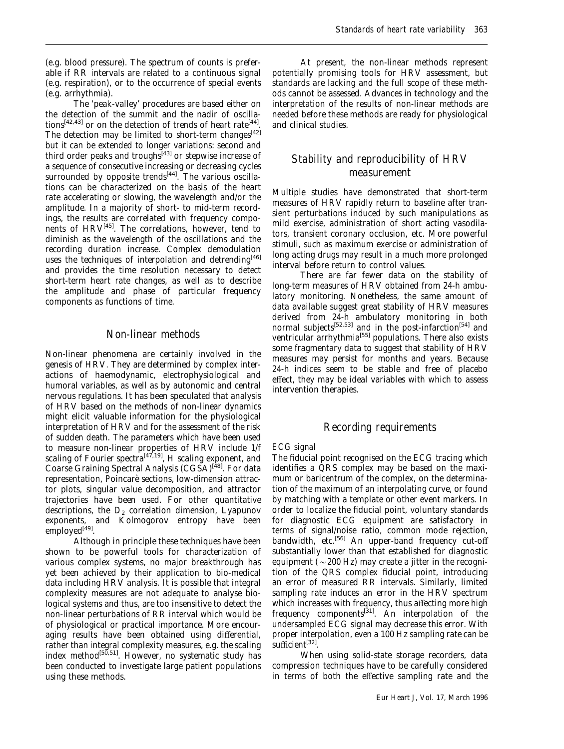(e.g. blood pressure). The spectrum of counts is preferable if RR intervals are related to a continuous signal (e.g. respiration), or to the occurrence of special events (e.g. arrhythmia).

The 'peak-valley' procedures are based either on the detection of the summit and the nadir of oscillations<sup>[42,43]</sup> or on the detection of trends of heart rate<sup>[44]</sup>. The detection may be limited to short-term changes<sup>[42]</sup> but it can be extended to longer variations: second and third order peaks and troughs<sup>[43]</sup> or stepwise increase of a sequence of consecutive increasing or decreasing cycles surrounded by opposite trends<sup>[44]</sup>. The various oscillations can be characterized on the basis of the heart rate accelerating or slowing, the wavelength and/or the amplitude. In a majority of short- to mid-term recordings, the results are correlated with frequency components of  $HRV^{[45]}$ . The correlations, however, tend to diminish as the wavelength of the oscillations and the recording duration increase. Complex demodulation uses the techniques of interpolation and detrending $[46]$ and provides the time resolution necessary to detect short-term heart rate changes, as well as to describe the amplitude and phase of particular frequency components as functions of time.

### *Non-linear methods*

Non-linear phenomena are certainly involved in the genesis of HRV. They are determined by complex interactions of haemodynamic, electrophysiological and humoral variables, as well as by autonomic and central nervous regulations. It has been speculated that analysis of HRV based on the methods of non-linear dynamics might elicit valuable information for the physiological interpretation of HRV and for the assessment of the risk of sudden death. The parameters which have been used to measure non-linear properties of HRV include 1/f scaling of Fourier spectra<sup>[47,19]</sup>, H scaling exponent, and Coarse Graining Spectral Analysis (CGSA)<sup>[48]</sup>. For data representation, Poincarè sections, low-dimension attractor plots, singular value decomposition, and attractor trajectories have been used. For other quantitative descriptions, the  $D_2$  correlation dimension, Lyapunov exponents, and Kolmogorov entropy have been  $emploved<sup>[49]</sup>.$ 

Although in principle these techniques have been shown to be powerful tools for characterization of various complex systems, no major breakthrough has yet been achieved by their application to bio-medical data including HRV analysis. It is possible that integral complexity measures are not adequate to analyse biological systems and thus, are too insensitive to detect the non-linear perturbations of RR interval which would be of physiological or practical importance. More encouraging results have been obtained using differential, rather than integral complexity measures, e.g. the scaling index method<sup>[50,51]</sup>. However, no systematic study has been conducted to investigate large patient populations using these methods.

At present, the non-linear methods represent potentially promising tools for HRV assessment, but standards are lacking and the full scope of these methods cannot be assessed. Advances in technology and the interpretation of the results of non-linear methods are needed before these methods are ready for physiological and clinical studies.

# *Stability and reproducibility of HRV measurement*

Multiple studies have demonstrated that short-term measures of HRV rapidly return to baseline after transient perturbations induced by such manipulations as mild exercise, administration of short acting vasodilators, transient coronary occlusion, etc. More powerful stimuli, such as maximum exercise or administration of long acting drugs may result in a much more prolonged interval before return to control values.

There are far fewer data on the stability of long-term measures of HRV obtained from 24-h ambulatory monitoring. Nonetheless, the same amount of data available suggest great stability of HRV measures derived from 24-h ambulatory monitoring in both normal subjects<sup>[52,53]</sup> and in the post-infarction<sup>[54]</sup> and ventricular arrhythmia<sup>[55]</sup> populations. There also exists some fragmentary data to suggest that stability of HRV measures may persist for months and years. Because 24-h indices seem to be stable and free of placebo effect, they may be ideal variables with which to assess intervention therapies.

### *Recording requirements*

#### *ECG signal*

The fiducial point recognised on the ECG tracing which identifies a QRS complex may be based on the maximum or baricentrum of the complex, on the determination of the maximum of an interpolating curve, or found by matching with a template or other event markers. In order to localize the fiducial point, voluntary standards for diagnostic ECG equipment are satisfactory in terms of signal/noise ratio, common mode rejection, bandwidth, etc.<sup>[56]</sup> An upper-band frequency cut-off substantially lower than that established for diagnostic equipment  $\left(\sim 200 \text{ Hz}\right)$  may create a jitter in the recognition of the QRS complex fiducial point, introducing an error of measured RR intervals. Similarly, limited sampling rate induces an error in the HRV spectrum which increases with frequency, thus affecting more high frequency components<sup>[31]</sup>. An interpolation of the undersampled ECG signal may decrease this error. With proper interpolation, even a 100 Hz sampling rate can be sufficient<sup>[32]</sup>.

When using solid-state storage recorders, data compression techniques have to be carefully considered in terms of both the effective sampling rate and the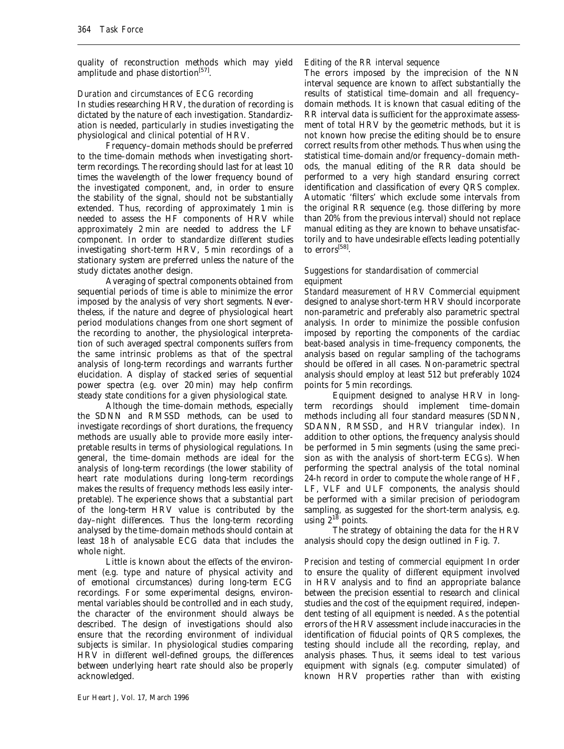quality of reconstruction methods which may yield amplitude and phase distortion $[57]$ .

### *Duration and circumstances of ECG recording*

In studies researching HRV, the duration of recording is dictated by the nature of each investigation. Standardization is needed, particularly in studies investigating the physiological and clinical potential of HRV.

Frequency–domain methods should be preferred to the time–domain methods when investigating shortterm recordings. The recording should last for at least 10 times the wavelength of the lower frequency bound of the investigated component, and, in order to ensure the stability of the signal, should not be substantially extended. Thus, recording of approximately 1 min is needed to assess the HF components of HRV while approximately 2 min are needed to address the LF component. In order to standardize different studies investigating short-term HRV, 5 min recordings of a stationary system are preferred unless the nature of the study dictates another design.

Averaging of spectral components obtained from sequential periods of time is able to minimize the error imposed by the analysis of very short segments. Nevertheless, if the nature and degree of physiological heart period modulations changes from one short segment of the recording to another, the physiological interpretation of such averaged spectral components suffers from the same intrinsic problems as that of the spectral analysis of long-term recordings and warrants further elucidation. A display of stacked series of sequential power spectra (e.g. over 20 min) may help confirm steady state conditions for a given physiological state.

Although the time–domain methods, especially the SDNN and RMSSD methods, can be used to investigate recordings of short durations, the frequency methods are usually able to provide more easily interpretable results in terms of physiological regulations. In general, the time–domain methods are ideal for the analysis of long-term recordings (the lower stability of heart rate modulations during long-term recordings makes the results of frequency methods less easily interpretable). The experience shows that a substantial part of the long-term HRV value is contributed by the day–night differences. Thus the long-term recording analysed by the time–domain methods should contain at least 18 h of analysable ECG data that includes the whole night.

Little is known about the effects of the environment (e.g. type and nature of physical activity and of emotional circumstances) during long-term ECG recordings. For some experimental designs, environmental variables should be controlled and in each study, the character of the environment should always be described. The design of investigations should also ensure that the recording environment of individual subjects is similar. In physiological studies comparing HRV in different well-defined groups, the differences between underlying heart rate should also be properly acknowledged.

### *Editing of the RR interval sequence*

The errors imposed by the imprecision of the NN interval sequence are known to affect substantially the results of statistical time–domain and all frequency– domain methods. It is known that casual editing of the RR interval data is sufficient for the approximate assessment of total HRV by the geometric methods, but it is not known how precise the editing should be to ensure correct results from other methods. Thus when using the statistical time–domain and/or frequency–domain methods, the manual editing of the RR data should be performed to a very high standard ensuring correct identification and classification of every QRS complex. Automatic 'filters' which exclude some intervals from the original RR sequence (e.g. those differing by more than 20% from the previous interval) should not replace manual editing as they are known to behave unsatisfactorily and to have undesirable effects leading potentially to errors<sup>[58]</sup>.

### *Suggestions for standardisation of commercial equipment*

*Standard measurement of HRV* Commercial equipment designed to analyse short-term HRV should incorporate non-parametric and preferably also parametric spectral analysis. In order to minimize the possible confusion imposed by reporting the components of the cardiac beat-based analysis in time–frequency components, the analysis based on regular sampling of the tachograms should be offered in all cases. Non-parametric spectral analysis should employ at least 512 but preferably 1024 points for 5 min recordings.

Equipment designed to analyse HRV in longterm recordings should implement time–domain methods including all four standard measures (SDNN, SDANN, RMSSD, and HRV triangular index). In addition to other options, the frequency analysis should be performed in 5 min segments (using the same precision as with the analysis of short-term ECGs). When performing the spectral analysis of the total nominal 24-h record in order to compute the whole range of HF, LF, VLF and ULF components, the analysis should be performed with a similar precision of periodogram sampling, as suggested for the short-term analysis, e.g. using  $2^{18}$  points.

The strategy of obtaining the data for the HRV analysis should copy the design outlined in Fig. 7.

*Precision and testing of commercial equipment* In order to ensure the quality of different equipment involved in HRV analysis and to find an appropriate balance between the precision essential to research and clinical studies and the cost of the equipment required, independent testing of all equipment is needed. As the potential errors of the HRV assessment include inaccuracies in the identification of fiducial points of QRS complexes, the testing should include all the recording, replay, and analysis phases. Thus, it seems ideal to test various equipment with signals (e.g. computer simulated) of known HRV properties rather than with existing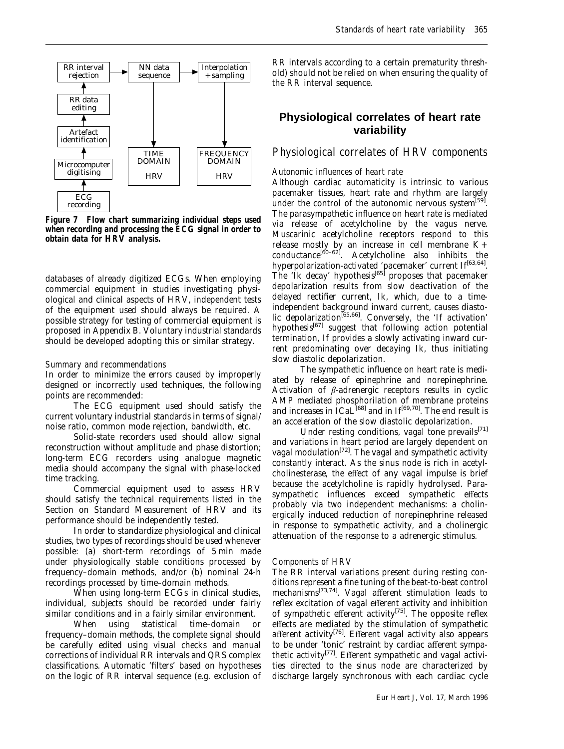

*Figure 7* **Flow chart summarizing individual steps used when recording and processing the ECG signal in order to obtain data for HRV analysis.**

databases of already digitized ECGs. When employing commercial equipment in studies investigating physiological and clinical aspects of HRV, independent tests of the equipment used should always be required. A possible strategy for testing of commercial equipment is proposed in Appendix B. Voluntary industrial standards should be developed adopting this or similar strategy.

#### *Summary and recommendations*

In order to minimize the errors caused by improperly designed or incorrectly used techniques, the following points are recommended:

The ECG equipment used should satisfy the current voluntary industrial standards in terms of signal/ noise ratio, common mode rejection, bandwidth, etc.

Solid-state recorders used should allow signal reconstruction without amplitude and phase distortion; long-term ECG recorders using analogue magnetic media should accompany the signal with phase-locked time tracking.

Commercial equipment used to assess HRV should satisfy the technical requirements listed in the Section on Standard Measurement of HRV and its performance should be independently tested.

In order to standardize physiological and clinical studies, two types of recordings should be used whenever possible: (a) short-term recordings of 5 min made under physiologically stable conditions processed by frequency–domain methods, and/or (b) nominal 24-h recordings processed by time–domain methods.

When using long-term ECGs in clinical studies, individual, subjects should be recorded under fairly similar conditions and in a fairly similar environment.

When using statistical time–domain or frequency–domain methods, the complete signal should be carefully edited using visual checks and manual corrections of individual RR intervals and QRS complex classifications. Automatic 'filters' based on hypotheses on the logic of RR interval sequence (e.g. exclusion of

RR intervals according to a certain prematurity threshold) should not be relied on when ensuring the quality of the RR interval sequence.

# **Physiological correlates of heart rate variability**

# *Physiological correlates of HRV components*

### *Autonomic influences of heart rate*

Although cardiac automaticity is intrinsic to various pacemaker tissues, heart rate and rhythm are largely under the control of the autonomic nervous system<sup>[59]</sup>. The parasympathetic influence on heart rate is mediated via release of acetylcholine by the vagus nerve. Muscarinic acetylcholine receptors respond to this release mostly by an increase in cell membrane K+ conductance<sup>[60–62]</sup>. Acetylcholine also inhibits the hyperpolarization-activated 'pacemaker' current If<sup>[63,64]</sup>. The 'Ik decay' hypothesis<sup>[65]</sup> proposes that pacemaker depolarization results from slow deactivation of the delayed rectifier current, Ik, which, due to a timeindependent background inward current, causes diastolic depolarization[65,66]. Conversely, the 'If activation' hypothesis<sup>[67]</sup> suggest that following action potential termination, If provides a slowly activating inward current predominating over decaying Ik, thus initiating slow diastolic depolarization.

The sympathetic influence on heart rate is mediated by release of epinephrine and norepinephrine. Activation of *â*-adrenergic receptors results in cyclic AMP mediated phosphorilation of membrane proteins and increases in  $ICaL^{[68]}$  and in  $If^{[69,70]}$ . The end result is an acceleration of the slow diastolic depolarization.

Under resting conditions, vagal tone prevails[71] and variations in heart period are largely dependent on vagal modulation<sup>[72]</sup>. The vagal and sympathetic activity constantly interact. As the sinus node is rich in acetylcholinesterase, the effect of any vagal impulse is brief because the acetylcholine is rapidly hydrolysed. Parasympathetic influences exceed sympathetic effects probably via two independent mechanisms: a cholinergically induced reduction of norepinephrine released in response to sympathetic activity, and a cholinergic attenuation of the response to a adrenergic stimulus.

#### *Components of HRV*

The RR interval variations present during resting conditions represent a fine tuning of the beat-to-beat control mechanisms[73,74]. Vagal afferent stimulation leads to reflex excitation of vagal efferent activity and inhibition of sympathetic efferent activity<sup>[75]</sup>. The opposite reflex effects are mediated by the stimulation of sympathetic afferent activity<sup>[76]</sup>. Efferent vagal activity also appears to be under 'tonic' restraint by cardiac afferent sympathetic activity<sup>[77]</sup>. Efferent sympathetic and vagal activities directed to the sinus node are characterized by discharge largely synchronous with each cardiac cycle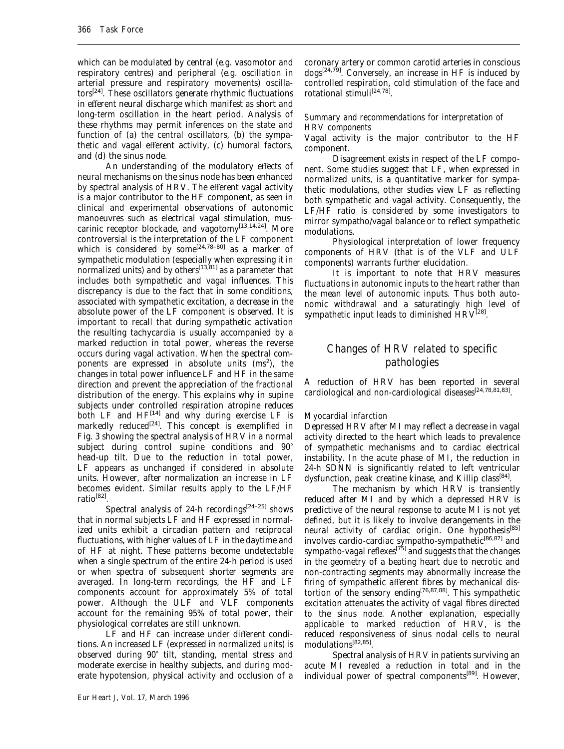which can be modulated by central (e.g. vasomotor and respiratory centres) and peripheral (e.g. oscillation in arterial pressure and respiratory movements) oscillators[24]. These oscillators generate rhythmic fluctuations in efferent neural discharge which manifest as short and long-term oscillation in the heart period. Analysis of these rhythms may permit inferences on the state and function of (a) the central oscillators, (b) the sympathetic and vagal efferent activity, (c) humoral factors, and (d) the sinus node.

An understanding of the modulatory effects of neural mechanisms on the sinus node has been enhanced by spectral analysis of HRV. The efferent vagal activity is a major contributor to the HF component, as seen in clinical and experimental observations of autonomic manoeuvres such as electrical vagal stimulation, muscarinic receptor blockade, and vagotomy $[13,14,24]$ . More controversial is the interpretation of the LF component which is considered by some<sup>[24,78–80]</sup> as a marker of sympathetic modulation (especially when expressing it in normalized units) and by others<sup>[13,81]</sup> as a parameter that includes both sympathetic and vagal influences. This discrepancy is due to the fact that in some conditions, associated with sympathetic excitation, a decrease in the absolute power of the LF component is observed. It is important to recall that during sympathetic activation the resulting tachycardia is usually accompanied by a marked reduction in total power, whereas the reverse occurs during vagal activation. When the spectral components are expressed in absolute units  $(ms^2)$ , the changes in total power influence LF and HF in the same direction and prevent the appreciation of the fractional distribution of the energy. This explains why in supine subjects under controlled respiration atropine reduces both LF and  $HF^{[14]}$  and why during exercise LF is markedly reduced<sup>[24]</sup>. This concept is exemplified in Fig. 3 showing the spectral analysis of HRV in a normal subject during control supine conditions and 90° head-up tilt. Due to the reduction in total power, LF appears as unchanged if considered in absolute units. However, after normalization an increase in LF becomes evident. Similar results apply to the LF/HF ratio<sup>[82]</sup>.

Spectral analysis of 24-h recordings<sup>[24-25]</sup> shows that in normal subjects LF and HF expressed in normalized units exhibit a circadian pattern and reciprocal fluctuations, with higher values of LF in the daytime and of HF at night. These patterns become undetectable when a single spectrum of the entire 24-h period is used or when spectra of subsequent shorter segments are averaged. In long-term recordings, the HF and LF components account for approximately 5% of total power. Although the ULF and VLF components account for the remaining 95% of total power, their physiological correlates are still unknown.

LF and HF can increase under different conditions. An increased LF (expressed in normalized units) is observed during 90° tilt, standing, mental stress and moderate exercise in healthy subjects, and during moderate hypotension, physical activity and occlusion of a

coronary artery or common carotid arteries in conscious  $\log s^{\left[24,79\right]}$ . Conversely, an increase in HF is induced by controlled respiration, cold stimulation of the face and rotational stimuli<sup>[24,78]</sup>.

### *Summary and recommendations for interpretation of HRV components*

Vagal activity is the major contributor to the HF component.

Disagreement exists in respect of the LF component. Some studies suggest that LF, when expressed in normalized units, is a quantitative marker for sympathetic modulations, other studies view LF as reflecting both sympathetic and vagal activity. Consequently, the LF/HF ratio is considered by some investigators to mirror sympatho/vagal balance or to reflect sympathetic modulations.

Physiological interpretation of lower frequency components of HRV (that is of the VLF and ULF components) warrants further elucidation.

It is important to note that HRV measures fluctuations in autonomic inputs to the heart rather than the mean level of autonomic inputs. Thus both autonomic withdrawal and a saturatingly high level of sympathetic input leads to diminished  $HRV^{[28]}$ .

# *Changes of HRV related to specific pathologies*

A reduction of HRV has been reported in several cardiological and non-cardiological diseases<sup>[24,78,81,83]</sup>.

### *Myocardial infarction*

Depressed HRV after MI may reflect a decrease in vagal activity directed to the heart which leads to prevalence of sympathetic mechanisms and to cardiac electrical instability. In the acute phase of MI, the reduction in 24-h SDNN is significantly related to left ventricular dysfunction, peak creatine kinase, and Killip class<sup>[84]</sup>.

The mechanism by which HRV is transiently reduced after MI and by which a depressed HRV is predictive of the neural response to acute MI is not yet defined, but it is likely to involve derangements in the neural activity of cardiac origin. One hypothesis<sup>[85]</sup> involves cardio-cardiac sympatho-sympathetic<sup>[86,87]</sup> and sympatho-vagal reflexes<sup>[75]</sup> and suggests that the changes in the geometry of a beating heart due to necrotic and non-contracting segments may abnormally increase the firing of sympathetic afferent fibres by mechanical distortion of the sensory ending<sup>[76,87,88]</sup>. This sympathetic excitation attenuates the activity of vagal fibres directed to the sinus node. Another explanation, especially applicable to marked reduction of HRV, is the reduced responsiveness of sinus nodal cells to neural modulations[82,85].

Spectral analysis of HRV in patients surviving an acute MI revealed a reduction in total and in the individual power of spectral components<sup>[89]</sup>. However,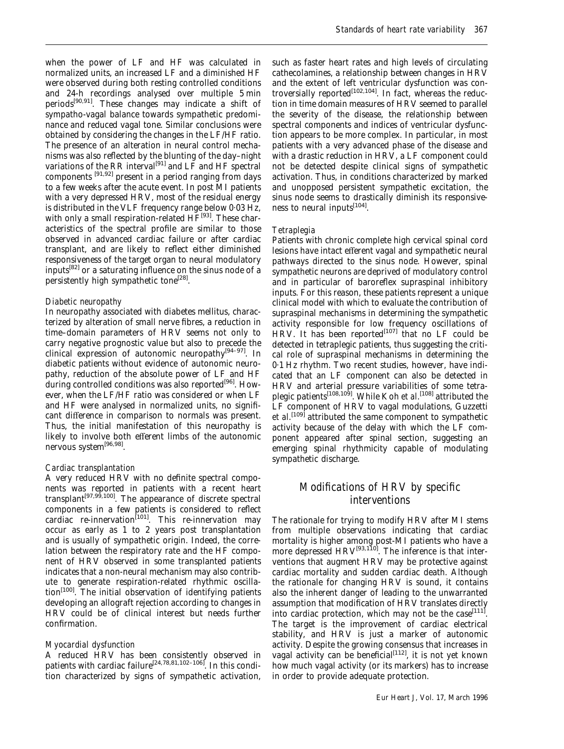when the power of LF and HF was calculated in normalized units, an increased LF and a diminished HF were observed during both resting controlled conditions and 24-h recordings analysed over multiple 5 min periods<sup>[90,91]</sup>. These changes may indicate a shift of sympatho-vagal balance towards sympathetic predominance and reduced vagal tone. Similar conclusions were obtained by considering the changes in the LF/HF ratio. The presence of an alteration in neural control mechanisms was also reflected by the blunting of the day–night variations of the RR interval<sup>[91]</sup> and  $LF$  and HF spectral components [91,92] present in a period ranging from days to a few weeks after the acute event. In post MI patients with a very depressed HRV, most of the residual energy is distributed in the VLF frequency range below 0·03 Hz, with only a small respiration-related HF<sup>[93]</sup>. These characteristics of the spectral profile are similar to those observed in advanced cardiac failure or after cardiac transplant, and are likely to reflect either diminished responsiveness of the target organ to neural modulatory inputs[82] or a saturating influence on the sinus node of a persistently high sympathetic tone<sup>[28]</sup>.

#### *Diabetic neuropathy*

In neuropathy associated with diabetes mellitus, characterized by alteration of small nerve fibres, a reduction in time–domain parameters of HRV seems not only to carry negative prognostic value but also to precede the clinical expression of autonomic neuropathy $[94-97]$ . In diabetic patients without evidence of autonomic neuropathy, reduction of the absolute power of LF and HF during controlled conditions was also reported<sup>[96]</sup>. However, when the LF/HF ratio was considered or when LF and HF were analysed in normalized units, no significant difference in comparison to normals was present. Thus, the initial manifestation of this neuropathy is likely to involve both efferent limbs of the autonomic nervous system<sup>[96,98]</sup>.

#### *Cardiac transplantation*

A very reduced HRV with no definite spectral components was reported in patients with a recent heart transplant<sup>[97,99,100]</sup>. The appearance of discrete spectral components in a few patients is considered to reflect cardiac re-innervation<sup>[101]</sup>. This re-innervation may occur as early as 1 to 2 years post transplantation and is usually of sympathetic origin. Indeed, the correlation between the respiratory rate and the HF component of HRV observed in some transplanted patients indicates that a non-neural mechanism may also contribute to generate respiration-related rhythmic oscillation<sup>[100]</sup>. The initial observation of identifying patients developing an allograft rejection according to changes in HRV could be of clinical interest but needs further confirmation.

### *Myocardial dysfunction*

A reduced HRV has been consistently observed in patients with cardiac failure<sup>[24,78,81,102–106]</sup>. In this condition characterized by signs of sympathetic activation,

such as faster heart rates and high levels of circulating cathecolamines, a relationship between changes in HRV and the extent of left ventricular dysfunction was controversially reported<sup>[102,104]</sup>. In fact, whereas the reduction in time domain measures of HRV seemed to parallel the severity of the disease, the relationship between spectral components and indices of ventricular dysfunction appears to be more complex. In particular, in most patients with a very advanced phase of the disease and with a drastic reduction in HRV, a LF component could not be detected despite clinical signs of sympathetic activation. Thus, in conditions characterized by marked and unopposed persistent sympathetic excitation, the sinus node seems to drastically diminish its responsiveness to neural inputs $^{[104]}$ .

#### *Tetraplegia*

Patients with chronic complete high cervical spinal cord lesions have intact efferent vagal and sympathetic neural pathways directed to the sinus node. However, spinal sympathetic neurons are deprived of modulatory control and in particular of baroreflex supraspinal inhibitory inputs. For this reason, these patients represent a unique clinical model with which to evaluate the contribution of supraspinal mechanisms in determining the sympathetic activity responsible for low frequency oscillations of HRV. It has been reported<sup>[107]</sup> that no LF could be detected in tetraplegic patients, thus suggesting the critical role of supraspinal mechanisms in determining the 0·1 Hz rhythm. Two recent studies, however, have indicated that an LF component can also be detected in HRV and arterial pressure variabilities of some tetraplegic patients<sup>[108,109]</sup>. While Koh *et al*.<sup>[108]</sup> attributed the LF component of HRV to vagal modulations, Guzzetti et al.<sup>[109]</sup> attributed the same component to sympathetic activity because of the delay with which the LF component appeared after spinal section, suggesting an emerging spinal rhythmicity capable of modulating sympathetic discharge.

# *Modifications of HRV by specific interventions*

The rationale for trying to modify HRV after MI stems from multiple observations indicating that cardiac mortality is higher among post-MI patients who have a more depressed  $HRV^{[93,110]}$ . The inference is that interventions that augment HRV may be protective against cardiac mortality and sudden cardiac death. Although the rationale for changing HRV is sound, it contains also the inherent danger of leading to the unwarranted assumption that modification of HRV translates directly into cardiac protection, which may not be the case<sup>[111]</sup>. The target is the improvement of cardiac electrical stability, and HRV is just a marker of autonomic activity. Despite the growing consensus that increases in vagal activity can be beneficial $[112]$ , it is not yet known how much vagal activity (or its markers) has to increase in order to provide adequate protection.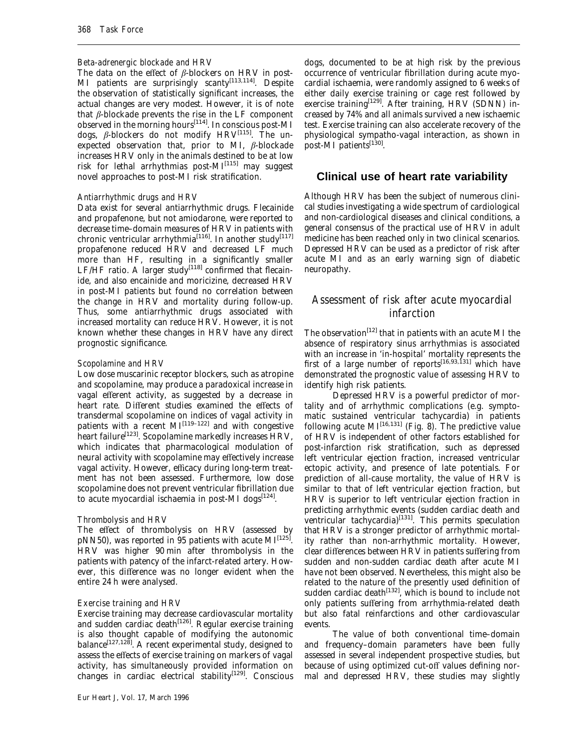### *Beta-adrenergic blockade and HRV*

The data on the effect of *â*-blockers on HRV in post-MI patients are surprisingly scanty<sup>[113,114]</sup>. Despite the observation of statistically significant increases, the actual changes are very modest. However, it is of note that *â*-blockade prevents the rise in the LF component observed in the morning hours<sup>[114]</sup>. In conscious post-MI dogs,  $\beta$ -blockers do not modify HRV<sup>[115]</sup>. The unexpected observation that, prior to MI, *â*-blockade increases HRV only in the animals destined to be at low risk for lethal arrhythmias post- $MI^{[115]}$  may suggest novel approaches to post-MI risk stratification.

#### *Antiarrhythmic drugs and HRV*

Data exist for several antiarrhythmic drugs. Flecainide and propafenone, but not amiodarone, were reported to decrease time–domain measures of HRV in patients with chronic ventricular arrhythmia<sup>[116]</sup>. In another study<sup>[117]</sup> propafenone reduced HRV and decreased LF much more than HF, resulting in a significantly smaller LF/HF ratio. A larger study<sup>[118]</sup> confirmed that flecainide, and also encainide and moricizine, decreased HRV in post-MI patients but found no correlation between the change in HRV and mortality during follow-up. Thus, some antiarrhythmic drugs associated with increased mortality can reduce HRV. However, it is not known whether these changes in HRV have any direct prognostic significance.

#### *Scopolamine and HRV*

Low dose muscarinic receptor blockers, such as atropine and scopolamine, may produce a paradoxical increase in vagal efferent activity, as suggested by a decrease in heart rate. Different studies examined the effects of transdermal scopolamine on indices of vagal activity in patients with a recent MI<sup>[119-122]</sup> and with congestive heart failure<sup>[123]</sup>. Scopolamine markedly increases HRV, which indicates that pharmacological modulation of neural activity with scopolamine may effectively increase vagal activity. However, efficacy during long-term treatment has not been assessed. Furthermore, low dose scopolamine does not prevent ventricular fibrillation due to acute myocardial ischaemia in post-MI dogs<sup>[124]</sup>.

#### *Thrombolysis and HRV*

The effect of thrombolysis on HRV (assessed by pNN50), was reported in 95 patients with acute  $MI^{[125]}$ . HRV was higher 90 min after thrombolysis in the patients with patency of the infarct-related artery. However, this difference was no longer evident when the entire 24 h were analysed.

### *Exercise training and HRV*

Exercise training may decrease cardiovascular mortality and sudden cardiac death<sup>[126]</sup>. Regular exercise training is also thought capable of modifying the autonomic balance<sup>[127,128]</sup>. A recent experimental study, designed to assess the effects of exercise training on markers of vagal activity, has simultaneously provided information on changes in cardiac electrical stability<sup>[129]</sup>. Conscious

dogs, documented to be at high risk by the previous occurrence of ventricular fibrillation during acute myocardial ischaemia, were randomly assigned to 6 weeks of either daily exercise training or cage rest followed by exercise training<sup>[129]</sup>. After training, HRV (SDNN) increased by 74% and all animals survived a new ischaemic test. Exercise training can also accelerate recovery of the physiological sympatho-vagal interaction, as shown in post-MI patients<sup>[130]</sup>.

# **Clinical use of heart rate variability**

Although HRV has been the subject of numerous clinical studies investigating a wide spectrum of cardiological and non-cardiological diseases and clinical conditions, a general consensus of the practical use of HRV in adult medicine has been reached only in two clinical scenarios. Depressed HRV can be used as a predictor of risk after acute MI and as an early warning sign of diabetic neuropathy.

# *Assessment of risk after acute myocardial infarction*

The observation<sup>[12]</sup> that in patients with an acute MI the absence of respiratory sinus arrhythmias is associated with an increase in 'in-hospital' mortality represents the first of a large number of reports<sup>[16,93,131]</sup> which have demonstrated the prognostic value of assessing HRV to identify high risk patients.

Depressed HRV is a powerful predictor of mortality and of arrhythmic complications (e.g. symptomatic sustained ventricular tachycardia) in patients following acute  $MI^{[16,131]}$  (Fig. 8). The predictive value of HRV is independent of other factors established for post-infarction risk stratification, such as depressed left ventricular ejection fraction, increased ventricular ectopic activity, and presence of late potentials. For prediction of all-cause mortality, the value of HRV is similar to that of left ventricular ejection fraction, but HRV is superior to left ventricular ejection fraction in predicting arrhythmic events (sudden cardiac death and ventricular tachycardia) $[131]$ . This permits speculation that HRV is a stronger predictor of arrhythmic mortality rather than non-arrhythmic mortality. However, clear differences between HRV in patients suffering from sudden and non-sudden cardiac death after acute MI have not been observed. Nevertheless, this might also be related to the nature of the presently used definition of sudden cardiac death<sup>[132]</sup>, which is bound to include not only patients suffering from arrhythmia-related death but also fatal reinfarctions and other cardiovascular events.

The value of both conventional time–domain and frequency–domain parameters have been fully assessed in several independent prospective studies, but because of using optimized cut-off values defining normal and depressed HRV, these studies may slightly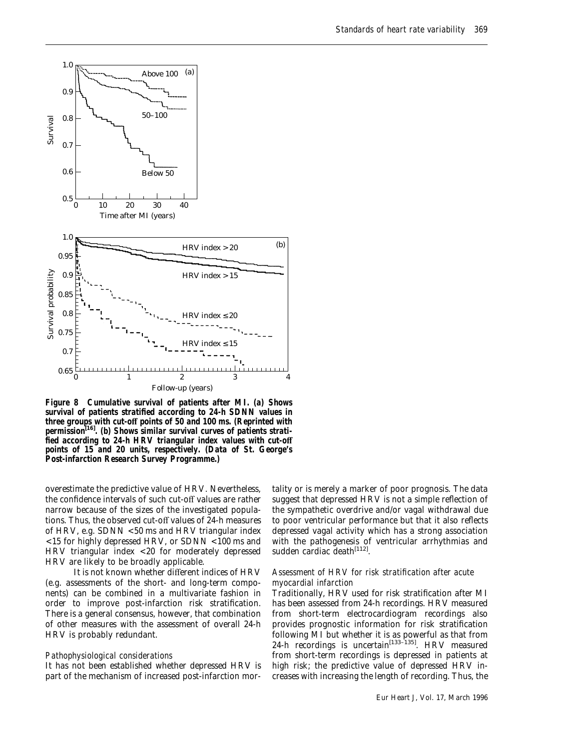

*Figure 8* **Cumulative survival of patients after MI. (a) Shows survival of patients stratified according to 24-h SDNN values in three groups with cut-off points of 50 and 100 ms. (Reprinted with** permission<sup>[16]</sup>. (b) Shows similar survival curves of patients strati**fied according to 24-h HRV triangular index values with cut-off points of 15 and 20 units, respectively. (Data of St. George's Post-infarction Research Survey Programme.)**

overestimate the predictive value of HRV. Nevertheless, the confidence intervals of such cut-off values are rather narrow because of the sizes of the investigated populations. Thus, the observed cut-off values of 24-h measures of HRV, e.g. SDNN <50 ms and HRV triangular index <15 for highly depressed HRV, or SDNN <100 ms and HRV triangular index <20 for moderately depressed HRV are likely to be broadly applicable.

It is not known whether different indices of HRV (e.g. assessments of the short- and long-term components) can be combined in a multivariate fashion in order to improve post-infarction risk stratification. There is a general consensus, however, that combination of other measures with the assessment of overall 24-h HRV is probably redundant.

### *Pathophysiological considerations*

It has not been established whether depressed HRV is part of the mechanism of increased post-infarction mor-

tality or is merely a marker of poor prognosis. The data suggest that depressed HRV is not a simple reflection of the sympathetic overdrive and/or vagal withdrawal due to poor ventricular performance but that it also reflects depressed vagal activity which has a strong association with the pathogenesis of ventricular arrhythmias and sudden cardiac death<sup>[112]</sup>.

### *Assessment of HRV for risk stratification after acute myocardial infarction*

Traditionally, HRV used for risk stratification after MI has been assessed from 24-h recordings. HRV measured from short-term electrocardiogram recordings also provides prognostic information for risk stratification following MI but whether it is as powerful as that from 24-h recordings is uncertain $[133-135]$ . HRV measured from short-term recordings is depressed in patients at high risk; the predictive value of depressed HRV increases with increasing the length of recording. Thus, the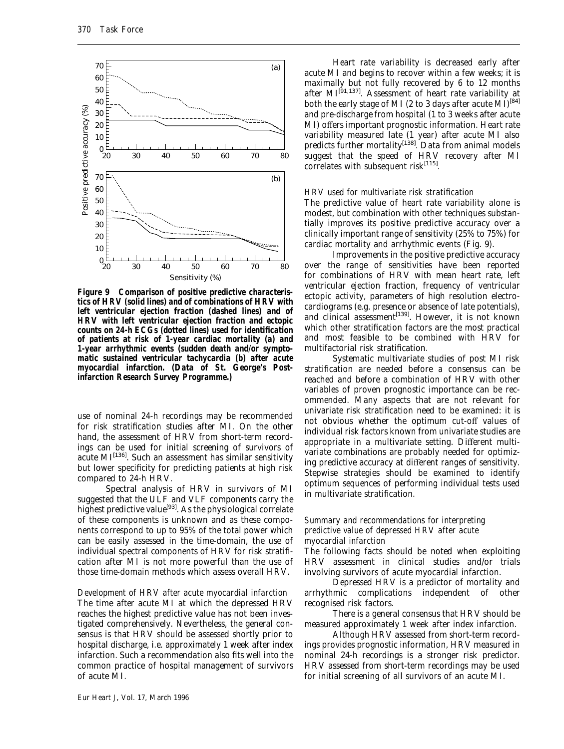

*Figure 9* **Comparison of positive predictive characteristics of HRV (solid lines) and of combinations of HRV with left ventricular ejection fraction (dashed lines) and of HRV with left ventricular ejection fraction and ectopic counts on 24-h ECGs (dotted lines) used for identification of patients at risk of 1-year cardiac mortality (a) and 1-year arrhythmic events (sudden death and/or symptomatic sustained ventricular tachycardia (b) after acute myocardial infarction. (Data of St. George's Postinfarction Research Survey Programme.)**

use of nominal 24-h recordings may be recommended for risk stratification studies after MI. On the other hand, the assessment of HRV from short-term recordings can be used for initial screening of survivors of acute MI[136]. Such an assessment has similar sensitivity but lower specificity for predicting patients at high risk compared to 24-h HRV.

Spectral analysis of HRV in survivors of MI suggested that the ULF and VLF components carry the highest predictive value<sup>[93]</sup>. As the physiological correlate of these components is unknown and as these components correspond to up to 95% of the total power which can be easily assessed in the time-domain, the use of individual spectral components of HRV for risk stratification after MI is not more powerful than the use of those time-domain methods which assess overall HRV.

### *Development of HRV after acute myocardial infarction*

The time after acute MI at which the depressed HRV reaches the highest predictive value has not been investigated comprehensively. Nevertheless, the general consensus is that HRV should be assessed shortly prior to hospital discharge, i.e. approximately 1 week after index infarction. Such a recommendation also fits well into the common practice of hospital management of survivors of acute MI.

Heart rate variability is decreased early after acute MI and begins to recover within a few weeks; it is maximally but not fully recovered by 6 to 12 months after MI<sup>[91,137]</sup>. Assessment of heart rate variability at both the early stage of MI (2 to 3 days after acute  $\text{MI}^{[84]}$ and pre-discharge from hospital (1 to 3 weeks after acute MI) offers important prognostic information. Heart rate variability measured late (1 year) after acute MI also predicts further mortality<sup>[138]</sup>. Data from animal models suggest that the speed of HRV recovery after MI correlates with subsequent risk $[115]$ .

#### *HRV used for multivariate risk stratification*

The predictive value of heart rate variability alone is modest, but combination with other techniques substantially improves its positive predictive accuracy over a clinically important range of sensitivity (25% to 75%) for cardiac mortality and arrhythmic events (Fig. 9).

Improvements in the positive predictive accuracy over the range of sensitivities have been reported for combinations of HRV with mean heart rate, left ventricular ejection fraction, frequency of ventricular ectopic activity, parameters of high resolution electrocardiograms (e.g. presence or absence of late potentials), and clinical assessment<sup>[139]</sup>. However, it is not known which other stratification factors are the most practical and most feasible to be combined with HRV for multifactorial risk stratification.

Systematic multivariate studies of post MI risk stratification are needed before a consensus can be reached and before a combination of HRV with other variables of proven prognostic importance can be recommended. Many aspects that are not relevant for univariate risk stratification need to be examined: it is not obvious whether the optimum cut-off values of individual risk factors known from univariate studies are appropriate in a multivariate setting. Different multivariate combinations are probably needed for optimizing predictive accuracy at different ranges of sensitivity. Stepwise strategies should be examined to identify optimum sequences of performing individual tests used in multivariate stratification.

### *Summary and recommendations for interpreting predictive value of depressed HRV after acute myocardial infarction*

The following facts should be noted when exploiting HRV assessment in clinical studies and/or trials involving survivors of acute myocardial infarction.

Depressed HRV is a predictor of mortality and arrhythmic complications independent of other recognised risk factors.

There is a general consensus that HRV should be measured approximately 1 week after index infarction.

Although HRV assessed from short-term recordings provides prognostic information, HRV measured in nominal 24-h recordings is a stronger risk predictor. HRV assessed from short-term recordings may be used for initial screening of all survivors of an acute MI.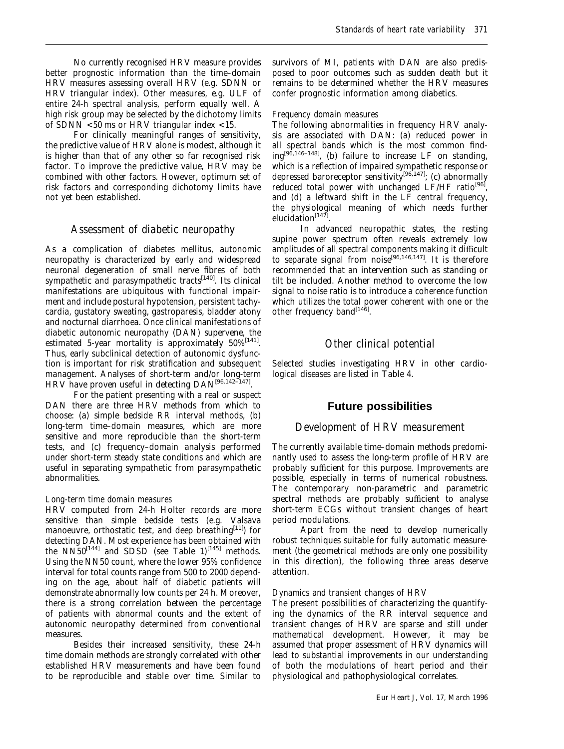No currently recognised HRV measure provides better prognostic information than the time–domain HRV measures assessing overall HRV (e.g. SDNN or HRV triangular index). Other measures, e.g. ULF of entire 24-h spectral analysis, perform equally well. A high risk group may be selected by the dichotomy limits of SDNN <50 ms or HRV triangular index <15.

For clinically meaningful ranges of sensitivity, the predictive value of HRV alone is modest, although it is higher than that of any other so far recognised risk factor. To improve the predictive value, HRV may be combined with other factors. However, optimum set of risk factors and corresponding dichotomy limits have not yet been established.

### *Assessment of diabetic neuropathy*

As a complication of diabetes mellitus, autonomic neuropathy is characterized by early and widespread neuronal degeneration of small nerve fibres of both sympathetic and parasympathetic tracts $[140]$ . Its clinical manifestations are ubiquitous with functional impairment and include postural hypotension, persistent tachycardia, gustatory sweating, gastroparesis, bladder atony and nocturnal diarrhoea. Once clinical manifestations of diabetic autonomic neuropathy (DAN) supervene, the estimated 5-year mortality is approximately  $50\%$ <sup>[141]</sup>. Thus, early subclinical detection of autonomic dysfunction is important for risk stratification and subsequent management. Analyses of short-term and/or long-term HRV have proven useful in detecting DAN<sup>[96,142–147]</sup>.

For the patient presenting with a real or suspect DAN there are three HRV methods from which to choose: (a) simple bedside RR interval methods, (b) long-term time–domain measures, which are more sensitive and more reproducible than the short-term tests, and (c) frequency–domain analysis performed under short-term steady state conditions and which are useful in separating sympathetic from parasympathetic abnormalities.

### *Long-term time domain measures*

HRV computed from 24-h Holter records are more sensitive than simple bedside tests (e.g. Valsava manoeuvre, orthostatic test, and deep breathing $[11]$ ) for detecting DAN. Most experience has been obtained with the  $NN50^{[144]}$  and SDSD (see Table 1)<sup>[145]</sup> methods. Using the NN50 count, where the lower 95% confidence interval for total counts range from 500 to 2000 depending on the age, about half of diabetic patients will demonstrate abnormally low counts per 24 h. Moreover, there is a strong correlation between the percentage of patients with abnormal counts and the extent of autonomic neuropathy determined from conventional measures.

Besides their increased sensitivity, these 24-h time domain methods are strongly correlated with other established HRV measurements and have been found to be reproducible and stable over time. Similar to

survivors of MI, patients with DAN are also predisposed to poor outcomes such as sudden death but it remains to be determined whether the HRV measures confer prognostic information among diabetics.

### *Frequency domain measures*

The following abnormalities in frequency HRV analysis are associated with DAN: (a) reduced power in all spectral bands which is the most common find $ing^{[96,146-148]}$ , (b) failure to increase LF on standing, which is a reflection of impaired sympathetic response or depressed baroreceptor sensitivity<sup>[96,147]</sup>; (c) abnormally reduced total power with unchanged LF/HF ratio<sup>[96]</sup>, and (d) a leftward shift in the LF central frequency, the physiological meaning of which needs further elucidation<sup>[147]</sup>.

In advanced neuropathic states, the resting supine power spectrum often reveals extremely low amplitudes of all spectral components making it difficult to separate signal from  $noise^{[96,146,147]}$ . It is therefore recommended that an intervention such as standing or tilt be included. Another method to overcome the low signal to noise ratio is to introduce a coherence function which utilizes the total power coherent with one or the other frequency band<sup>[146]</sup>.

### *Other clinical potential*

Selected studies investigating HRV in other cardiological diseases are listed in Table 4.

### **Future possibilities**

### *Development of HRV measurement*

The currently available time–domain methods predominantly used to assess the long-term profile of HRV are probably sufficient for this purpose. Improvements are possible, especially in terms of numerical robustness. The contemporary non-parametric and parametric spectral methods are probably sufficient to analyse short-term ECGs without transient changes of heart period modulations.

Apart from the need to develop numerically robust techniques suitable for fully automatic measurement (the geometrical methods are only one possibility in this direction), the following three areas deserve attention.

#### *Dynamics and transient changes of HRV*

The present possibilities of characterizing the quantifying the dynamics of the RR interval sequence and transient changes of HRV are sparse and still under mathematical development. However, it may be assumed that proper assessment of HRV dynamics will lead to substantial improvements in our understanding of both the modulations of heart period and their physiological and pathophysiological correlates.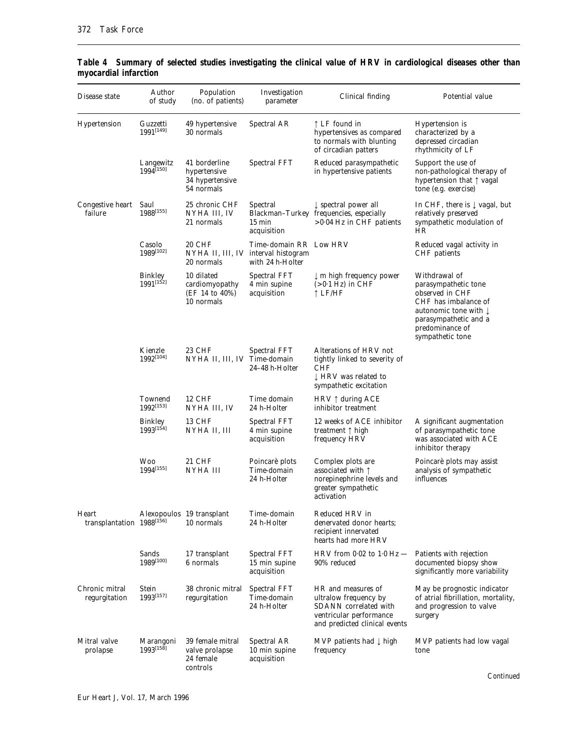| Disease state                      | Author<br>of study               | Population<br>(no. of patients)                                | Investigation<br>parameter                                                        | Clinical finding                                                                                                                        | Potential value                                                                                                                                                                      |
|------------------------------------|----------------------------------|----------------------------------------------------------------|-----------------------------------------------------------------------------------|-----------------------------------------------------------------------------------------------------------------------------------------|--------------------------------------------------------------------------------------------------------------------------------------------------------------------------------------|
| Hypertension                       | Guzzetti<br>$1991^{[149]}$       | 49 hypertensive<br>30 normals                                  | Spectral AR                                                                       | ↑ LF found in<br>hypertensives as compared<br>to normals with blunting<br>of circadian patters                                          | Hypertension is<br>characterized by a<br>depressed circadian<br>rhythmicity of LF                                                                                                    |
|                                    | Langewitz<br>$1994^{[150]}$      | 41 borderline<br>hypertensive<br>34 hypertensive<br>54 normals | Spectral FFT                                                                      | Reduced parasympathetic<br>in hypertensive patients                                                                                     | Support the use of<br>non-pathological therapy of<br>hypertension that $\uparrow$ vagal<br>tone (e.g. exercise)                                                                      |
| Congestive heart<br>failure        | Saul<br>$1988^{[155]}$           | 25 chronic CHF<br>NYHA III, IV<br>21 normals                   | Spectral<br>$15 \,\mathrm{min}$<br>acquisition                                    | $\downarrow$ spectral power all<br>Blackman-Turkey frequencies, especially<br>$>0.04$ Hz in CHF patients                                | In CHF, there is $\downarrow$ vagal, but<br>relatively preserved<br>sympathetic modulation of<br>HR                                                                                  |
|                                    | Casolo<br>$1989^{[102]}$         | <b>20 CHF</b><br>20 normals                                    | Time-domain RR Low HRV<br>NYHA II, III, IV interval histogram<br>with 24 h-Holter |                                                                                                                                         | Reduced vagal activity in<br>CHF patients                                                                                                                                            |
|                                    | <b>Binkley</b><br>$1991^{[152]}$ | 10 dilated<br>cardiomyopathy<br>(EF 14 to 40%)<br>10 normals   | <b>Spectral FFT</b><br>4 min supine<br>acquisition                                | $\downarrow$ m high frequency power<br>$(>0.1$ Hz) in CHF<br>$\uparrow$ LF/HF                                                           | Withdrawal of<br>parasympathetic tone<br>observed in CHF<br>CHF has imbalance of<br>autonomic tone with $\downarrow$<br>parasympathetic and a<br>predominance of<br>sympathetic tone |
|                                    | Kienzle<br>$1992^{[104]}$        | 23 CHF<br>NYHA II, III, IV Time-domain                         | Spectral FFT<br>24–48 h-Holter                                                    | Alterations of HRV not<br>tightly linked to severity of<br><b>CHF</b><br>I HRV was related to<br>sympathetic excitation                 |                                                                                                                                                                                      |
|                                    | Townend<br>$1992^{[153]}$        | 12 CHF<br>NYHA III, IV                                         | Time domain<br>24 h-Holter                                                        | HRV $\uparrow$ during ACE<br>inhibitor treatment                                                                                        |                                                                                                                                                                                      |
|                                    | <b>Binkley</b><br>$1993^{[154]}$ | 13 CHF<br>NYHA II, III                                         | Spectral FFT<br>4 min supine<br>acquisition                                       | 12 weeks of ACE inhibitor<br>treatment $\uparrow$ high<br>frequency HRV                                                                 | A significant augmentation<br>of parasympathetic tone<br>was associated with ACE<br>inhibitor therapy                                                                                |
|                                    | <b>Woo</b><br>1994[155]          | 21 CHF<br>NYHA III                                             | Poincarè plots<br>Time-domain<br>24 h-Holter                                      | Complex plots are<br>associated with $\uparrow$<br>norepinephrine levels and<br>greater sympathetic<br>activation                       | Poincarè plots may assist<br>analysis of sympathetic<br>influences                                                                                                                   |
| Heart<br>transplantation 1988[156] |                                  | Alexopoulos 19 transplant<br>10 normals                        | Time-domain<br>24 h-Holter                                                        | Reduced HRV in<br>denervated donor hearts;<br>recipient innervated<br>hearts had more HRV                                               |                                                                                                                                                                                      |
|                                    | Sands<br>1989[100]               | 17 transplant<br>6 normals                                     | Spectral FFT<br>15 min supine<br>acquisition                                      | HRV from $0.02$ to $1.0$ Hz $-$<br>90% reduced                                                                                          | Patients with rejection<br>documented biopsy show<br>significantly more variability                                                                                                  |
| Chronic mitral<br>regurgitation    | Stein<br>1993[157]               | 38 chronic mitral<br>regurgitation                             | Spectral FFT<br>Time-domain<br>24 h-Holter                                        | HR and measures of<br>ultralow frequency by<br><b>SDANN</b> correlated with<br>ventricular performance<br>and predicted clinical events | May be prognostic indicator<br>of atrial fibrillation, mortality,<br>and progression to valve<br>surgery                                                                             |
| Mitral valve<br>prolapse           | Marangoni<br>$1993^{[158]}$      | 39 female mitral<br>valve prolapse<br>24 female<br>controls    | Spectral AR<br>10 min supine<br>acquisition                                       | MVP patients had $\downarrow$ high<br>frequency                                                                                         | MVP patients had low vagal<br>tone                                                                                                                                                   |

# *Table 4 Summary of selected studies investigating the clinical value of HRV in cardiological diseases other than myocardial infarction*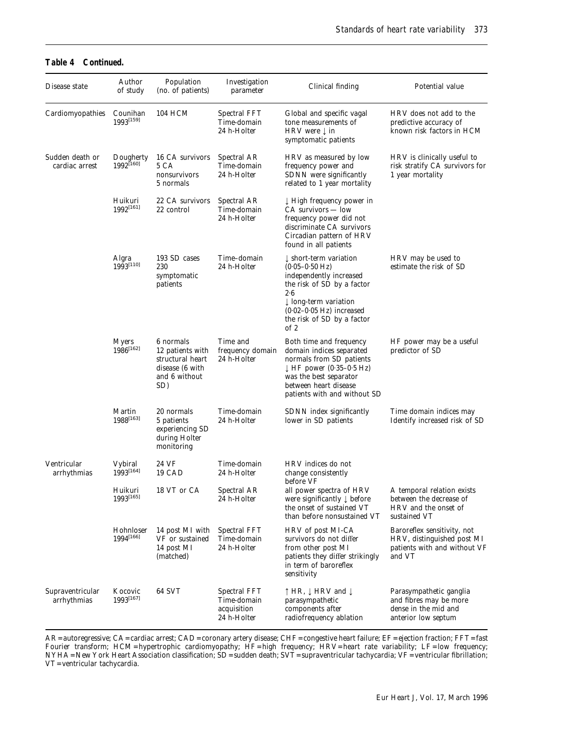### *Table 4 Continued.*

| Disease state                     | Author<br>of study             | Population<br>(no. of patients)                                                              | Investigation<br>parameter                                       | Clinical finding                                                                                                                                                                                                                                  | Potential value                                                                                     |
|-----------------------------------|--------------------------------|----------------------------------------------------------------------------------------------|------------------------------------------------------------------|---------------------------------------------------------------------------------------------------------------------------------------------------------------------------------------------------------------------------------------------------|-----------------------------------------------------------------------------------------------------|
| Cardiomyopathies                  | Counihan<br>$1993^{[159]}$     | 104 HCM                                                                                      | Spectral FFT<br>Time-domain<br>24 h-Holter                       | Global and specific vagal<br>tone measurements of<br>HRV were $\downarrow$ in<br>symptomatic patients                                                                                                                                             | HRV does not add to the<br>predictive accuracy of<br>known risk factors in HCM                      |
| Sudden death or<br>cardiac arrest | Dougherty<br>$1992^{[160]}$    | 16 CA survivors<br>5 CA<br>nonsurvivors<br>5 normals                                         | Spectral AR<br>Time-domain<br>24 h-Holter                        | HRV as measured by low<br>frequency power and<br>SDNN were significantly<br>related to 1 year mortality                                                                                                                                           | HRV is clinically useful to<br>risk stratify CA survivors for<br>1 year mortality                   |
|                                   | Huikuri<br>$1992^{[161]}$      | 22 CA survivors<br>22 control                                                                | Spectral AR<br>Time-domain<br>24 h-Holter                        | $\downarrow$ High frequency power in<br>CA survivors - low<br>frequency power did not<br>discriminate CA survivors<br>Circadian pattern of HRV<br>found in all patients                                                                           |                                                                                                     |
|                                   | Algra<br>$1993^{[110]}$        | 193 SD cases<br>230<br>symptomatic<br>patients                                               | Time-domain<br>24 h-Holter                                       | $\downarrow$ short-term variation<br>$(0.05 - 0.50 \text{ Hz})$<br>independently increased<br>the risk of SD by a factor<br>2.6<br>$\downarrow$ long-term variation<br>$(0.02 - 0.05 \text{ Hz})$ increased<br>the risk of SD by a factor<br>of 2 | HRV may be used to<br>estimate the risk of SD                                                       |
|                                   | <b>Myers</b><br>$1986^{[162]}$ | 6 normals<br>12 patients with<br>structural heart<br>disease (6 with<br>and 6 without<br>SD) | Time and<br>frequency domain<br>24 h-Holter                      | Both time and frequency<br>domain indices separated<br>normals from SD patients<br>$\downarrow$ HF power (0.35–0.5 Hz)<br>was the best separator<br>between heart disease<br>patients with and without SD                                         | HF power may be a useful<br>predictor of SD                                                         |
|                                   | Martin<br>1988[163]            | 20 normals<br>5 patients<br>experiencing SD<br>during Holter<br>monitoring                   | Time-domain<br>24 h-Holter                                       | SDNN index significantly<br>lower in SD patients                                                                                                                                                                                                  | Time domain indices may<br>Identify increased risk of SD                                            |
| Ventricular<br>arrhythmias        | Vybiral<br>1993[164]           | 24 VF<br>19 CAD                                                                              | Time-domain<br>24 h-Holter                                       | HRV indices do not<br>change consistently<br>before VF                                                                                                                                                                                            |                                                                                                     |
|                                   | Huikuri<br>$1993^{[165]}$      | 18 VT or CA                                                                                  | Spectral AR<br>24 h-Holter                                       | all power spectra of HRV<br>were significantly $\downarrow$ before<br>the onset of sustained VT<br>than before nonsustained VT                                                                                                                    | A temporal relation exists<br>between the decrease of<br>HRV and the onset of<br>sustained VT       |
|                                   | Hohnloser<br>$1994^{[166]}$    | 14 post MI with<br>VF or sustained<br>14 post MI<br>(matched)                                | <b>Spectral FFT</b><br>Time-domain<br>24 h-Holter                | HRV of post MI-CA<br>survivors do not differ<br>from other post MI<br>patients they differ strikingly<br>in term of baroreflex<br>sensitivity                                                                                                     | Baroreflex sensitivity, not<br>HRV, distinguished post MI<br>patients with and without VF<br>and VT |
| Supraventricular<br>arrhythmias   | Kocovic<br>1993[167]           | 64 SVT                                                                                       | <b>Spectral FFT</b><br>Time-domain<br>acquisition<br>24 h-Holter | $\uparrow$ HR, $\downarrow$ HRV and $\downarrow$<br>parasympathetic<br>components after<br>radiofrequency ablation                                                                                                                                | Parasympathetic ganglia<br>and fibres may be more<br>dense in the mid and<br>anterior low septum    |

AR=autoregressive; CA=cardiac arrest; CAD=coronary artery disease; CHF=congestive heart failure; EF=ejection fraction; FFT=fast Fourier transform; HCM=hypertrophic cardiomyopathy; HF=high frequency; HRV=heart rate variability; LF=low frequency; NYHA=New York Heart Association classification; SD=sudden death; SVT=supraventricular tachycardia; VF=ventricular fibrillation; VT=ventricular tachycardia.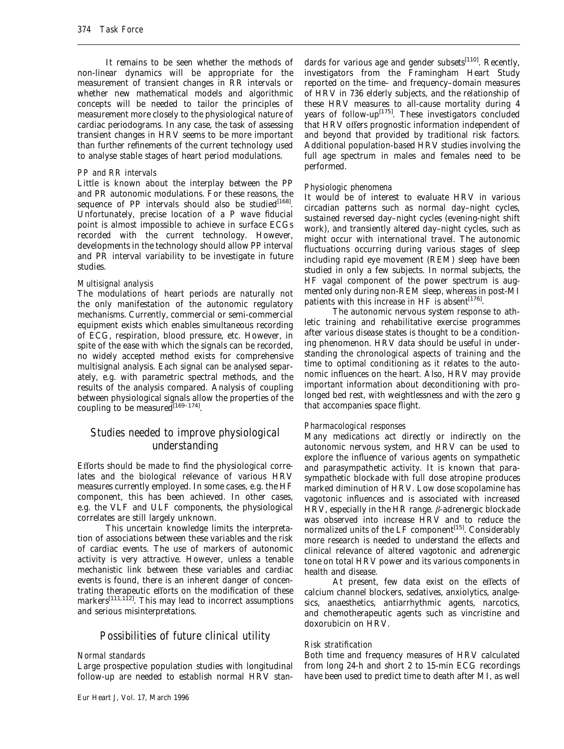It remains to be seen whether the methods of non-linear dynamics will be appropriate for the measurement of transient changes in RR intervals or whether new mathematical models and algorithmic concepts will be needed to tailor the principles of measurement more closely to the physiological nature of cardiac periodograms. In any case, the task of assessing transient changes in HRV seems to be more important than further refinements of the current technology used to analyse stable stages of heart period modulations.

### *PP and RR intervals*

Little is known about the interplay between the PP and PR autonomic modulations. For these reasons, the sequence of PP intervals should also be studied $[168]$ . Unfortunately, precise location of a P wave fiducial point is almost impossible to achieve in surface ECGs recorded with the current technology. However, developments in the technology should allow PP interval and PR interval variability to be investigate in future studies.

### *Multisignal analysis*

The modulations of heart periods are naturally not the only manifestation of the autonomic regulatory mechanisms. Currently, commercial or semi-commercial equipment exists which enables simultaneous recording of ECG, respiration, blood pressure, etc. However, in spite of the ease with which the signals can be recorded, no widely accepted method exists for comprehensive multisignal analysis. Each signal can be analysed separately, e.g. with parametric spectral methods, and the results of the analysis compared. Analysis of coupling between physiological signals allow the properties of the coupling to be measured<sup>[169-174]</sup>.

# *Studies needed to improve physiological understanding*

Efforts should be made to find the physiological correlates and the biological relevance of various HRV measures currently employed. In some cases, e.g. the HF component, this has been achieved. In other cases, e.g. the VLF and ULF components, the physiological correlates are still largely unknown.

This uncertain knowledge limits the interpretation of associations between these variables and the risk of cardiac events. The use of markers of autonomic activity is very attractive. However, unless a tenable mechanistic link between these variables and cardiac events is found, there is an inherent danger of concentrating therapeutic efforts on the modification of these  $\text{markers}^{[111,112]}$ . This may lead to incorrect assumptions and serious misinterpretations.

# *Possibilities of future clinical utility*

#### *Normal standards*

Large prospective population studies with longitudinal follow-up are needed to establish normal HRV stan-

dards for various age and gender subsets $[110]$ . Recently, investigators from the Framingham Heart Study reported on the time– and frequency–domain measures of HRV in 736 elderly subjects, and the relationship of these HRV measures to all-cause mortality during 4 years of follow-up<sup>[175]</sup>. These investigators concluded that HRV offers prognostic information independent of and beyond that provided by traditional risk factors. Additional population-based HRV studies involving the full age spectrum in males and females need to be performed.

### *Physiologic phenomena*

It would be of interest to evaluate HRV in various circadian patterns such as normal day–night cycles, sustained reversed day–night cycles (evening-night shift work), and transiently altered day–night cycles, such as might occur with international travel. The autonomic fluctuations occurring during various stages of sleep including rapid eye movement (REM) sleep have been studied in only a few subjects. In normal subjects, the HF vagal component of the power spectrum is augmented only during non-REM sleep, whereas in post-MI patients with this increase in HF is absent<sup>[176]</sup>.

The autonomic nervous system response to athletic training and rehabilitative exercise programmes after various disease states is thought to be a conditioning phenomenon. HRV data should be useful in understanding the chronological aspects of training and the time to optimal conditioning as it relates to the autonomic influences on the heart. Also, HRV may provide important information about deconditioning with prolonged bed rest, with weightlessness and with the zero g that accompanies space flight.

### *Pharmacological responses*

Many medications act directly or indirectly on the autonomic nervous system, and HRV can be used to explore the influence of various agents on sympathetic and parasympathetic activity. It is known that parasympathetic blockade with full dose atropine produces marked diminution of HRV. Low dose scopolamine has vagotonic influences and is associated with increased HRV, especially in the HR range. *â*-adrenergic blockade was observed into increase HRV and to reduce the normalized units of the LF component<sup>[15]</sup>. Considerably more research is needed to understand the effects and clinical relevance of altered vagotonic and adrenergic tone on total HRV power and its various components in health and disease.

At present, few data exist on the effects of calcium channel blockers, sedatives, anxiolytics, analgesics, anaesthetics, antiarrhythmic agents, narcotics, and chemotherapeutic agents such as vincristine and doxorubicin on HRV.

### *Risk stratification*

Both time and frequency measures of HRV calculated from long 24-h and short 2 to 15-min ECG recordings have been used to predict time to death after MI, as well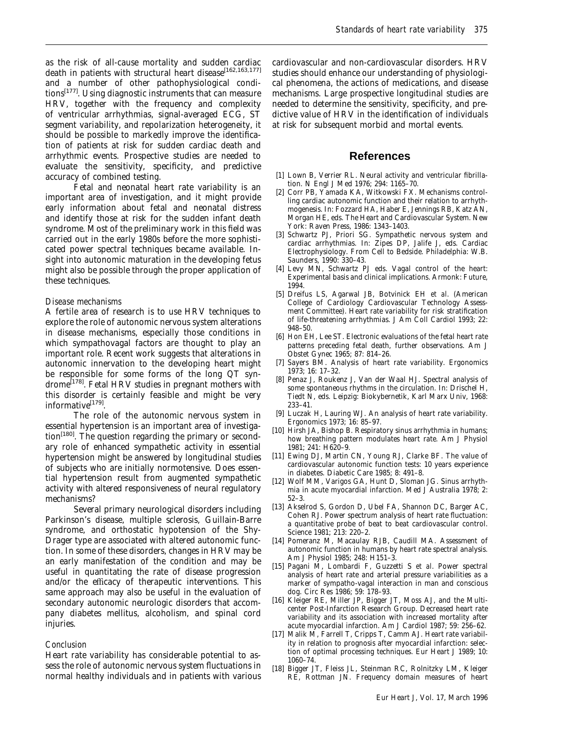as the risk of all-cause mortality and sudden cardiac death in patients with structural heart disease<sup>[162,163,177]</sup> and a number of other pathophysiological conditions[177]. Using diagnostic instruments that can measure HRV, together with the frequency and complexity of ventricular arrhythmias, signal-averaged ECG, ST segment variability, and repolarization heterogeneity, it should be possible to markedly improve the identification of patients at risk for sudden cardiac death and arrhythmic events. Prospective studies are needed to evaluate the sensitivity, specificity, and predictive accuracy of combined testing.

Fetal and neonatal heart rate variability is an important area of investigation, and it might provide early information about fetal and neonatal distress and identify those at risk for the sudden infant death syndrome. Most of the preliminary work in this field was carried out in the early 1980s before the more sophisticated power spectral techniques became available. Insight into autonomic maturation in the developing fetus might also be possible through the proper application of these techniques.

#### *Disease mechanisms*

A fertile area of research is to use HRV techniques to explore the role of autonomic nervous system alterations in disease mechanisms, especially those conditions in which sympathovagal factors are thought to play an important role. Recent work suggests that alterations in autonomic innervation to the developing heart might be responsible for some forms of the long QT syndrome<sup>[178]</sup>. Fetal HRV studies in pregnant mothers with this disorder is certainly feasible and might be very informative[179].

The role of the autonomic nervous system in essential hypertension is an important area of investigation<sup>[180]</sup>. The question regarding the primary or secondary role of enhanced sympathetic activity in essential hypertension might be answered by longitudinal studies of subjects who are initially normotensive. Does essential hypertension result from augmented sympathetic activity with altered responsiveness of neural regulatory mechanisms?

Several primary neurological disorders including Parkinson's disease, multiple sclerosis, Guillain-Barre syndrome, and orthostatic hypotension of the Shy-Drager type are associated with altered autonomic function. In some of these disorders, changes in HRV may be an early manifestation of the condition and may be useful in quantitating the rate of disease progression and/or the efficacy of therapeutic interventions. This same approach may also be useful in the evaluation of secondary autonomic neurologic disorders that accompany diabetes mellitus, alcoholism, and spinal cord injuries.

### *Conclusion*

Heart rate variability has considerable potential to assess the role of autonomic nervous system fluctuations in normal healthy individuals and in patients with various

cardiovascular and non-cardiovascular disorders. HRV studies should enhance our understanding of physiological phenomena, the actions of medications, and disease mechanisms. Large prospective longitudinal studies are needed to determine the sensitivity, specificity, and predictive value of HRV in the identification of individuals at risk for subsequent morbid and mortal events.

### **References**

- [1] Lown B, Verrier RL. Neural activity and ventricular fibrillation. N Engl J Med 1976; 294: 1165–70.
- [2] Corr PB, Yamada KA, Witkowski FX. Mechanisms controlling cardiac autonomic function and their relation to arrhythmogenesis. In: Fozzard HA, Haber E, Jennings RB, Katz AN, Morgan HE, eds. The Heart and Cardiovascular System. New York: Raven Press, 1986: 1343–1403.
- [3] Schwartz PJ, Priori SG. Sympathetic nervous system and cardiac arrhythmias. In: Zipes DP, Jalife J, eds. Cardiac Electrophysiology. From Cell to Bedside. Philadelphia: W.B. Saunders, 1990: 330–43.
- [4] Levy MN, Schwartz PJ eds. Vagal control of the heart: Experimental basis and clinical implications. Armonk: Future, 1994.
- [5] Dreifus LS, Agarwal JB, Botvinick EH *et al*. (American College of Cardiology Cardiovascular Technology Assessment Committee). Heart rate variability for risk stratification of life-threatening arrhythmias. J Am Coll Cardiol 1993; 22: 948–50.
- [6] Hon EH, Lee ST. Electronic evaluations of the fetal heart rate patterns preceding fetal death, further observations. Am J Obstet Gynec 1965; 87: 814–26.
- [7] Sayers BM. Analysis of heart rate variability. Ergonomics 1973; 16: 17–32.
- [8] Penaz J, Roukenz J, Van der Waal HJ. Spectral analysis of some spontaneous rhythms in the circulation. In: Drischel H, Tiedt N, eds. Leipzig: Biokybernetik, Karl Marx Univ, 1968: 233–41.
- [9] Luczak H, Lauring WJ. An analysis of heart rate variability. Ergonomics 1973; 16: 85–97.
- [10] Hirsh JA, Bishop B. Respiratory sinus arrhythmia in humans; how breathing pattern modulates heart rate. Am J Physiol 1981; 241: H620–9.
- [11] Ewing DJ, Martin CN, Young RJ, Clarke BF. The value of cardiovascular autonomic function tests: 10 years experience in diabetes. Diabetic Care 1985; 8: 491–8.
- [12] Wolf MM, Varigos GA, Hunt D, Sloman JG. Sinus arrhythmia in acute myocardial infarction. Med J Australia 1978; 2: 52–3.
- [13] Akselrod S, Gordon D, Ubel FA, Shannon DC, Barger AC, Cohen RJ. Power spectrum analysis of heart rate fluctuation: a quantitative probe of beat to beat cardiovascular control. Science 1981; 213: 220–2.
- [14] Pomeranz M, Macaulay RJB, Caudill MA. Assessment of autonomic function in humans by heart rate spectral analysis. Am J Physiol 1985; 248: H151–3.
- [15] Pagani M, Lombardi F, Guzzetti S *et al*. Power spectral analysis of heart rate and arterial pressure variabilities as a marker of sympatho-vagal interaction in man and conscious dog. Circ Res 1986; 59: 178–93.
- [16] Kleiger RE, Miller JP, Bigger JT, Moss AJ, and the Multicenter Post-Infarction Research Group. Decreased heart rate variability and its association with increased mortality after acute myocardial infarction. Am J Cardiol 1987; 59: 256–62.
- [17] Malik M, Farrell T, Cripps T, Camm AJ. Heart rate variability in relation to prognosis after myocardial infarction: selection of optimal processing techniques. Eur Heart J 1989; 10: 1060–74.
- [18] Bigger JT, Fleiss JL, Steinman RC, Rolnitzky LM, Kleiger RE, Rottman JN. Frequency domain measures of heart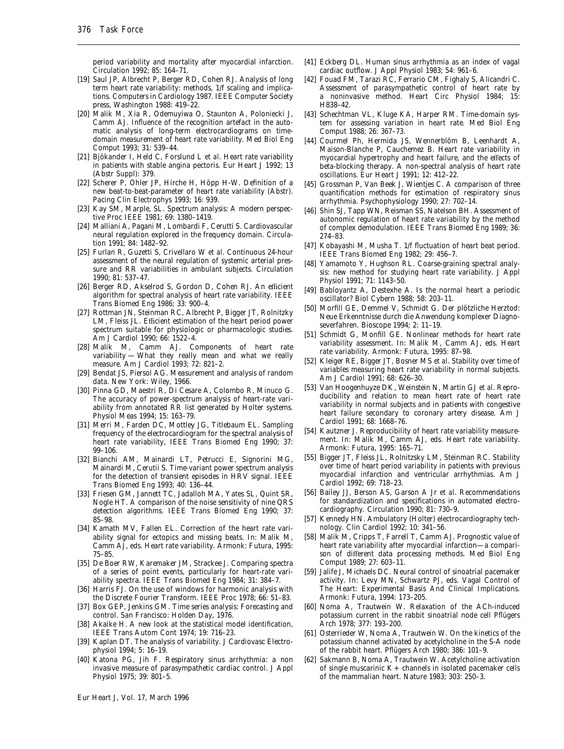period variability and mortality after myocardial infarction. Circulation 1992; 85: 164–71.

- [19] Saul JP, Albrecht P, Berger RD, Cohen RJ. Analysis of long term heart rate variability: methods, 1/f scaling and implications. Computers in Cardiology 1987. IEEE Computer Society press, Washington 1988: 419–22.
- [20] Malik M, Xia R, Odemuyiwa O, Staunton A, Poloniecki J, Camm AJ. Influence of the recognition artefact in the automatic analysis of long-term electrocardiograms on timedomain measurement of heart rate variability. Med Biol Eng Comput 1993; 31: 539–44.
- [21] Bjökander I, Held C, Forslund L *et al*. Heart rate variability in patients with stable angina pectoris. Eur Heart J 1992; 13 (Abstr Suppl): 379.
- [22] Scherer P, Ohler JP, Hirche H, Höpp H-W. Definition of a new beat-to-beat-parameter of heart rate variability (Abstr). Pacing Clin Electrophys 1993; 16: 939.
- [23] Kay SM, Marple, SL. Spectrum analysis: A modern perspective Proc IEEE 1981; 69: 1380–1419.
- [24] Malliani A, Pagani M, Lombardi F, Cerutti S. Cardiovascular neural regulation explored in the frequency domain. Circulation 1991; 84: 1482–92.
- [25] Furlan R, Guzetti S, Crivellaro W *et al*. Continuous 24-hour assessment of the neural regulation of systemic arterial pressure and RR variabilities in ambulant subjects. Circulation 1990; 81: 537–47.
- [26] Berger RD, Akselrod S, Gordon D, Cohen RJ. An efficient algorithm for spectral analysis of heart rate variability. IEEE Trans Biomed Eng 1986; 33: 900–4.
- [27] Rottman JN, Steinman RC, Albrecht P, Bigger JT, Rolnitzky LM, Fleiss JL. Efficient estimation of the heart period power spectrum suitable for physiologic or pharmacologic studies. Am J Cardiol 1990; 66: 1522–4.
- [28] Malik M, Camm AJ. Components of heart rate variability — What they really mean and what we really measure. Am J Cardiol 1993; 72: 821–2.
- [29] Bendat JS, Piersol AG. Measurement and analysis of random data. New York: Wiley, 1966.
- [30] Pinna GD, Maestri R, Di Cesare A, Colombo R, Minuco G. The accuracy of power-spectrum analysis of heart-rate variability from annotated RR list generated by Holter systems. Physiol Meas 1994; 15: 163–79.
- [31] Merri M, Farden DC, Mottley JG, Titlebaum EL. Sampling frequency of the electrocardiogram for the spectral analysis of heart rate variability, IEEE Trans Biomed Eng 1990; 37: 99–106.
- [32] Bianchi AM, Mainardi LT, Petrucci E, Signorini MG, Mainardi M, Cerutii S. Time-variant power spectrum analysis for the detection of transient episodes in HRV signal. IEEE Trans Biomed Eng 1993; 40: 136–44.
- [33] Friesen GM, Jannett TC, Jadalloh MA, Yates SL, Quint SR, Nogle HT. A comparison of the noise sensitivity of nine QRS detection algorithms. IEEE Trans Biomed Eng 1990; 37: 85–98.
- [34] Kamath MV, Fallen EL. Correction of the heart rate variability signal for ectopics and missing beats. In: Malik M, Camm AJ, eds. Heart rate variability. Armonk: Futura, 1995: 75–85.
- [35] De Boer RW, Karemaker JM, Strackee J. Comparing spectra of a series of point events, particularly for heart-rate variability spectra. IEEE Trans Biomed Eng 1984; 31: 384–7.
- [36] Harris FJ. On the use of windows for harmonic analysis with the Discrete Fourier Transform. IEEE Proc 1978; 66: 51–83.
- [37] Box GEP, Jenkins GM. Time series analysis: Forecasting and control. San Francisco: Holden Day, 1976.
- [38] Akaike H. A new look at the statistical model identification, IEEE Trans Autom Cont 1974; 19: 716–23.
- [39] Kaplan DT. The analysis of variability. J Cardiovasc Electrophysiol 1994; 5: 16–19.
- [40] Katona PG, Jih F. Respiratory sinus arrhythmia: a non invasive measure of parasympathetic cardiac control. J Appl Physiol 1975; 39: 801–5.
- [41] Eckberg DL. Human sinus arrhythmia as an index of vagal cardiac outflow. J Appl Physiol 1983; 54: 961-6.
- [42] Fouad FM, Tarazi RC, Ferrario CM, Fighaly S, Alicandri C. Assessment of parasympathetic control of heart rate by a noninvasive method. Heart Circ Physiol 1984; 15: H838–42.
- [43] Schechtman VL, Kluge KA, Harper RM. Time-domain system for assessing variation in heart rate. Med Biol Eng Comput 1988; 26: 367–73.
- [44] Courmel Ph, Hermida JS, Wennerblöm B, Leenhardt A, Maison-Blanche P, Cauchemez B. Heart rate variability in myocardial hypertrophy and heart failure, and the effects of beta-blocking therapy. A non-spectral analysis of heart rate oscillations. Eur Heart J 1991; 12: 412–22.
- [45] Grossman P, Van Beek J, Wientjes C. A comparison of three quantification methods for estimation of respiratory sinus arrhythmia. Psychophysiology 1990; 27: 702–14.
- [46] Shin SJ, Tapp WN, Reisman SS, Natelson BH. Assessment of autonomic regulation of heart rate variability by the method of complex demodulation. IEEE Trans Biomed Eng 1989; 36: 274–83.
- [47] Kobayashi M, Musha T. 1/f fluctuation of heart beat period. IEEE Trans Biomed Eng 1982; 29: 456–7.
- [48] Yamamoto Y, Hughson RL. Coarse-graining spectral analysis: new method for studying heart rate variability. J Appl Physiol 1991; 71: 1143–50.
- [49] Babloyantz A, Destexhe A. Is the normal heart a periodic oscillator? Biol Cybern 1988; 58: 203–11.
- [50] Morfill GE, Demmel V, Schmidt G. Der plötzliche Herztod: Neue Erkenntnisse durch die Anwendung komplexer Diagnoseverfahren. Bioscope 1994; 2: 11–19.
- [51] Schmidt G, Monfill GE. Nonlinear methods for heart rate variability assessment. In: Malik M, Camm AJ, eds. Heart rate variability. Armonk: Futura, 1995: 87–98.
- [52] Kleiger RE, Bigger JT, Bosner MS *et al*. Stability over time of variables measuring heart rate variability in normal subjects. Am J Cardiol 1991; 68: 626–30.
- [53] Van Hoogenhuyze DK, Weinstein N, Martin GJ *et al*. Reproducibility and relation to mean heart rate of heart rate variability in normal subjects and in patients with congestive heart failure secondary to coronary artery disease. Am J Cardiol 1991; 68: 1668–76.
- [54] Kautzner J. Reproducibility of heart rate variability measurement. In: Malik M, Camm AJ, eds. Heart rate variability. Armonk: Futura, 1995: 165–71.
- [55] Bigger JT, Fleiss JL, Rolnitzsky LM, Steinman RC. Stability over time of heart period variability in patients with previous myocardial infarction and ventricular arrhythmias. Am J Cardiol 1992; 69: 718–23.
- [56] Bailey JJ, Berson AS, Garson A Jr *et al*. Recommendations for standardization and specifications in automated electrocardiography. Circulation 1990; 81: 730–9.
- [57] Kennedy HN. Ambulatory (Holter) electrocardiography technology. Clin Cardiol 1992; 10: 341–56.
- [58] Malik M, Cripps T, Farrell T, Camm AJ. Prognostic value of heart rate variability after myocardial infarction—a comparison of different data processing methods. Med Biol Eng Comput 1989; 27: 603–11.
- [59] Jalife J, Michaels DC. Neural control of sinoatrial pacemaker activity. In: Levy MN, Schwartz PJ, eds. Vagal Control of The Heart: Experimental Basis And Clinical Implications. Armonk: Futura, 1994: 173–205.
- [60] Noma A, Trautwein W. Relaxation of the ACh-induced potassium current in the rabbit sinoatrial node cell Pflügers Arch 1978; 377: 193–200.
- [61] Osterrieder W, Noma A, Trautwein W. On the kinetics of the potassium channel activated by acetylcholine in the S-A node of the rabbit heart. Pflügers Arch 1980; 386: 101–9.
- [62] Sakmann B, Noma A, Trautwein W. Acetylcholine activation of single muscarinic  $K+$  channels in isolated pacemaker cells of the mammalian heart. Nature 1983; 303: 250–3.

Eur Heart J, Vol. 17, March 1996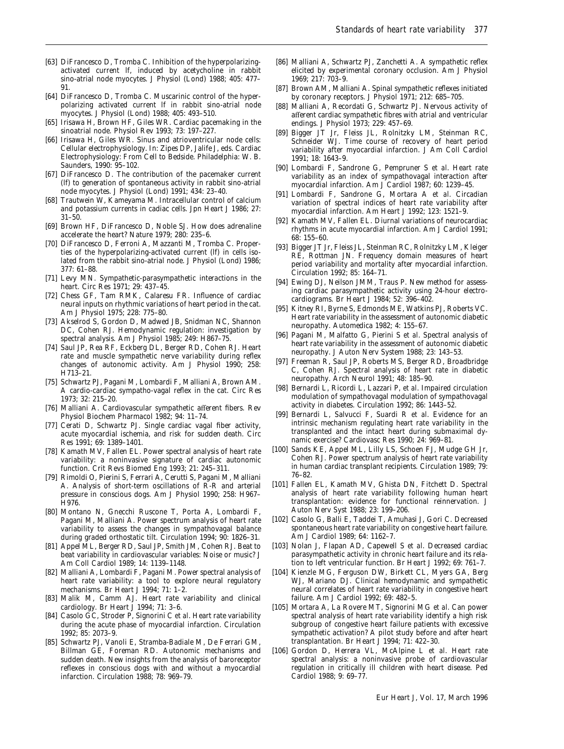- [63] DiFrancesco D, Tromba C. Inhibition of the hyperpolarizingactivated current lf, induced by acetycholine in rabbit sino-atrial node myocytes. J Physiol (Lond) 1988; 405: 477– 91.
- [64] DiFrancesco D, Tromba C. Muscarinic control of the hyperpolarizing activated current lf in rabbit sino-atrial node myocytes. J Physiol (Lond) 1988; 405: 493–510.
- [65] Irisawa H, Brown HF, Giles WR. Cardiac pacemaking in the sinoatrial node. Physiol Rev 1993; 73: 197–227.
- [66] Irisawa H, Giles WR. Sinus and atrioventricular node cells: Cellular electrophysiology. In: Zipes DP, Jalife J, eds. Cardiac Electrophysiology: From Cell to Bedside. Philadelphia: W. B. Saunders, 1990: 95–102.
- [67] DiFrancesco D. The contribution of the pacemaker current (lf) to generation of spontaneous activity in rabbit sino-atrial node myocytes. J Physiol (Lond) 1991; 434: 23–40.
- [68] Trautwein W, Kameyama M. Intracellular control of calcium and potassium currents in cadiac cells. Jpn Heart J 1986; 27: 31–50.
- [69] Brown HF, DiFrancesco D, Noble SJ. How does adrenaline accelerate the heart? Nature 1979; 280: 235–6.
- [70] DiFrancesco D, Ferroni A, Mazzanti M, Tromba C. Properties of the hyperpolarizing-activated current (lf) in cells isolated from the rabbit sino-atrial node. J Physiol (Lond) 1986; 377: 61–88.
- [71] Levy MN. Sympathetic-parasympathetic interactions in the heart. Circ Res 1971; 29: 437–45.
- [72] Chess GF, Tam RMK, Calaresu FR. Influence of cardiac neural inputs on rhythmic variations of heart period in the cat. Am J Physiol 1975; 228: 775–80.
- [73] Akselrod S, Gordon D, Madwed JB, Snidman NC, Shannon DC, Cohen RJ. Hemodynamic regulation: investigation by spectral analysis. Am J Physiol 1985; 249: H867–75.
- [74] Saul JP, Rea RF, Eckberg DL, Berger RD, Cohen RJ. Heart rate and muscle sympathetic nerve variability during reflex changes of autonomic activity. Am J Physiol 1990; 258: H713–21.
- [75] Schwartz PJ, Pagani M, Lombardi F, Malliani A, Brown AM. A cardio-cardiac sympatho-vagal reflex in the cat. Circ Res 1973; 32: 215–20.
- [76] Malliani A. Cardiovascular sympathetic afferent fibers. Rev Physiol Biochem Pharmacol 1982; 94: 11–74.
- [77] Cerati D, Schwartz PJ. Single cardiac vagal fiber activity, acute myocardial ischemia, and risk for sudden death. Circ Res 1991; 69: 1389–1401.
- [78] Kamath MV, Fallen EL. Power spectral analysis of heart rate variability: a noninvasive signature of cardiac autonomic function. Crit Revs Biomed Eng 1993; 21: 245–311.
- [79] Rimoldi O, Pierini S, Ferrari A, Cerutti S, Pagani M, Malliani A. Analysis of short-term oscillations of R-R and arterial pressure in conscious dogs. Am J Physiol 1990; 258: H967– H976.
- [80] Montano N, Gnecchi Ruscone T, Porta A, Lombardi F, Pagani M, Malliani A. Power spectrum analysis of heart rate variability to assess the changes in sympathovagal balance during graded orthostatic tilt. Circulation 1994; 90: 1826–31.
- [81] Appel ML, Berger RD, Saul JP, Smith JM, Cohen RJ. Beat to beat variability in cardiovascular variables: Noise or music? J Am Coll Cardiol 1989; 14: 1139–1148.
- [82] Malliani A, Lombardi F, Pagani M. Power spectral analysis of heart rate variability: a tool to explore neural regulatory mechanisms. Br Heart J 1994; 71: 1–2.
- [83] Malik M, Camm AJ. Heart rate variability and clinical cardiology. Br Heart J 1994; 71: 3–6.
- [84] Casolo GC, Stroder P, Signorini C *et al*. Heart rate variability during the acute phase of myocardial infarction. Circulation 1992; 85: 2073–9.
- [85] Schwartz PJ, Vanoli E, Stramba-Badiale M, De Ferrari GM, Billman GE, Foreman RD. Autonomic mechanisms and sudden death. New insights from the analysis of baroreceptor reflexes in conscious dogs with and without a myocardial infarction. Circulation 1988; 78: 969–79.
- [86] Malliani A, Schwartz PJ, Zanchetti A. A sympathetic reflex elicited by experimental coronary occlusion. Am J Physiol 1969; 217: 703–9.
- [87] Brown AM, Malliani A. Spinal sympathetic reflexes initiated by coronary receptors. J Physiol 1971; 212: 685–705.
- [88] Malliani A, Recordati G, Schwartz PJ. Nervous activity of afferent cardiac sympathetic fibres with atrial and ventricular endings. J Physiol 1973; 229: 457–69.
- [89] Bigger JT Jr, Fleiss JL, Rolnitzky LM, Steinman RC, Schneider WJ. Time course of recovery of heart period variability after myocardial infarction. J Am Coll Cardiol 1991; 18: 1643–9.
- [90] Lombardi F, Sandrone G, Pempruner S *et al*. Heart rate variability as an index of sympathovagal interaction after myocardial infarction. Am J Cardiol 1987; 60: 1239–45.
- [91] Lombardi F, Sandrone G, Mortara A *et al*. Circadian variation of spectral indices of heart rate variability after myocardial infarction. Am Heart J 1992; 123: 1521–9.
- [92] Kamath MV, Fallen EL. Diurnal variations of neurocardiac rhythms in acute myocardial infarction. Am J Cardiol 1991; 68: 155–60.
- [93] Bigger JT Jr, Fleiss JL, Steinman RC, Rolnitzky LM, Kleiger RE, Rottman JN. Frequency domain measures of heart period variability and mortality after myocardial infarction. Circulation 1992; 85: 164–71.
- [94] Ewing DJ, Neilson JMM, Traus P. New method for assessing cardiac parasympathetic activity using 24-hour electrocardiograms. Br Heart J 1984; 52: 396–402.
- [95] Kitney RI, Byrne S, Edmonds ME, Watkins PJ, Roberts VC. Heart rate variability in the assessment of autonomic diabetic neuropathy. Automedica 1982; 4: 155–67.
- [96] Pagani M, Malfatto G, Pierini S *et al*. Spectral analysis of heart rate variability in the assessment of autonomic diabetic neuropathy. J Auton Nerv System 1988; 23: 143–53.
- [97] Freeman R, Saul JP, Roberts MS, Berger RD, Broadbridge C, Cohen RJ. Spectral analysis of heart rate in diabetic neuropathy. Arch Neurol 1991; 48: 185–90.
- [98] Bernardi L, Ricordi L, Lazzari P, *et al*. Impaired circulation modulation of sympathovagal modulation of sympathovagal activity in diabetes. Circulation 1992; 86: 1443–52.
- [99] Bernardi L, Salvucci F, Suardi R *et al*. Evidence for an intrinsic mechanism regulating heart rate variability in the transplanted and the intact heart during submaximal dynamic exercise? Cardiovasc Res 1990; 24: 969–81.
- [100] Sands KE, Appel ML, Lilly LS, Schoen FJ, Mudge GH Jr, Cohen RJ. Power spectrum analysis of heart rate variability in human cardiac transplant recipients. Circulation 1989; 79: 76–82.
- [101] Fallen EL, Kamath MV, Ghista DN, Fitchett D. Spectral analysis of heart rate variability following human heart transplantation: evidence for functional reinnervation. J Auton Nerv Syst 1988; 23: 199–206.
- [102] Casolo G, Balli E, Taddei T, Amuhasi J, Gori C. Decreased spontaneous heart rate variability on congestive heart failure. Am J Cardiol 1989; 64: 1162–7.
- [103] Nolan J, Flapan AD, Capewell S *et al*. Decreased cardiac parasympathetic activity in chronic heart failure and its relation to left ventricular function. Br Heart J 1992; 69: 761–7.
- [104] Kienzle MG, Ferguson DW, Birkett CL, Myers GA, Berg WJ, Mariano DJ. Clinical hemodynamic and sympathetic neural correlates of heart rate variability in congestive heart failure. Am J Cardiol 1992; 69: 482–5.
- [105] Mortara A, La Rovere MT, Signorini MG *et al*. Can power spectral analysis of heart rate variability identify a high risk subgroup of congestive heart failure patients with excessive sympathetic activation? A pilot study before and after heart transplantation. Br Heart J 1994; 71: 422–30.
- [106] Gordon D, Herrera VL, McAlpine L *et al*. Heart rate spectral analysis: a noninvasive probe of cardiovascular regulation in critically ill children with heart disease. Ped Cardiol 1988; 9: 69–77.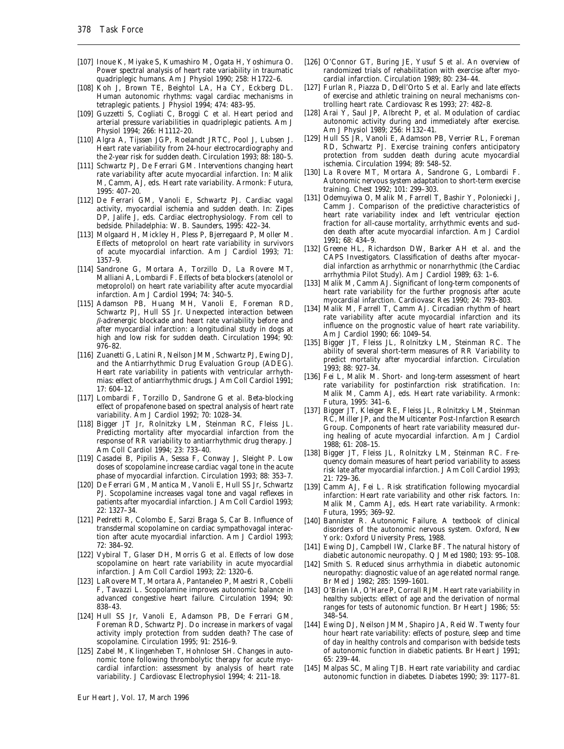- [107] Inoue K, Miyake S, Kumashiro M, Ogata H, Yoshimura O. Power spectral analysis of heart rate variability in traumatic quadriplegic humans. Am J Physiol 1990; 258: H1722–6.
- [108] Koh J, Brown TE, Beightol LA, Ha CY, Eckberg DL. Human autonomic rhythms: vagal cardiac mechanisms in tetraplegic patients. J Physiol 1994; 474: 483–95.
- [109] Guzzetti S, Cogliati C, Broggi C *et al*. Heart period and arterial pressure variabilities in quadriplegic patients. Am J Physiol 1994; 266: H1112–20.
- [110] Algra A, Tijssen JGP, Roelandt JRTC, Pool J, Lubsen J. Heart rate variability from 24-hour electrocardiography and the 2-year risk for sudden death. Circulation 1993; 88: 180–5.
- [111] Schwartz PJ, De Ferrari GM. Interventions changing heart rate variability after acute myocardial infarction. In: Malik M, Camm, AJ, eds. Heart rate variability. Armonk: Futura, 1995: 407–20.
- [112] De Ferrari GM, Vanoli E, Schwartz PJ. Cardiac vagal activity, myocardial ischemia and sudden death. In: Zipes DP, Jalife J, eds. Cardiac electrophysiology. From cell to bedside. Philadelphia: W. B. Saunders, 1995: 422–34.
- [113] Molgaard H, Mickley H, Pless P, Bjerregaard P, Moller M. Effects of metoprolol on heart rate variability in survivors of acute myocardial infarction. Am J Cardiol 1993; 71: 1357–9.
- [114] Sandrone G, Mortara A, Torzillo D, La Rovere MT, Malliani A, Lombardi F. Effects of beta blockers (atenolol or metoprolol) on heart rate variability after acute myocardial infarction. Am J Cardiol 1994; 74: 340–5.
- [115] Adamson PB, Huang MH, Vanoli E, Foreman RD, Schwartz PJ, Hull SS Jr. Unexpected interaction between *â*-adrenergic blockade and heart rate variability before and after myocardial infarction: a longitudinal study in dogs at high and low risk for sudden death. Circulation 1994; 90: 976–82.
- [116] Zuanetti G, Latini R, Neilson JMM, Schwartz PJ, Ewing DJ, and the Antiarrhythmic Drug Evaluation Group (ADEG). Heart rate variability in patients with ventricular arrhythmias: effect of antiarrhythmic drugs. J Am Coll Cardiol 1991; 17: 604–12.
- [117] Lombardi F, Torzillo D, Sandrone G *et al*. Beta-blocking effect of propafenone based on spectral analysis of heart rate variability. Am J Cardiol 1992; 70: 1028–34.
- [118] Bigger JT Jr, Rolnitzky LM, Steinman RC, Fleiss JL. Predicting mortality after myocardial infarction from the response of RR variability to antiarrhythmic drug therapy. J Am Coll Cardiol 1994; 23: 733–40.
- [119] Casadei B, Pipilis A, Sessa F, Conway J, Sleight P. Low doses of scopolamine increase cardiac vagal tone in the acute phase of myocardial infarction. Circulation 1993; 88: 353–7.
- [120] De Ferrari GM, Mantica M, Vanoli E, Hull SS Jr, Schwartz PJ. Scopolamine increases vagal tone and vagal reflexes in patients after myocardial infarction. J Am Coll Cardiol 1993; 22: 1327–34.
- [121] Pedretti R, Colombo E, Sarzi Braga S, Car B. Influence of transdermal scopolamine on cardiac sympathovagal interaction after acute myocardial infarction. Am J Cardiol 1993; 72: 384–92.
- [122] Vybiral T, Glaser DH, Morris G *et al*. Effects of low dose scopolamine on heart rate variability in acute myocardial infarction. J Am Coll Cardiol 1993; 22: 1320–6.
- [123] LaRovere MT, Mortara A, Pantaneleo P, Maestri R, Cobelli F, Tavazzi L. Scopolamine improves autonomic balance in advanced congestive heart failure. Circulation 1994; 90: 838–43.
- [124] Hull SS Jr, Vanoli E, Adamson PB, De Ferrari GM, Foreman RD, Schwartz PJ. Do increase in markers of vagal activity imply protection from sudden death? The case of scopolamine. Circulation 1995; 91: 2516–9.
- [125] Zabel M, Klingenheben T, Hohnloser SH. Changes in autonomic tone following thrombolytic therapy for acute myocardial infarction: assessment by analysis of heart rate variability. J Cardiovasc Electrophysiol 1994; 4: 211–18.
- [126] O'Connor GT, Buring JE, Yusuf S *et al*. An overview of randomized trials of rehabilitation with exercise after myocardial infarction. Circulation 1989; 80: 234–44.
- [127] Furlan R, Piazza D, Dell'Orto S *et al*. Early and late effects of exercise and athletic training on neural mechanisms controlling heart rate. Cardiovasc Res 1993; 27: 482–8.
- [128] Arai Y, Saul JP, Albrecht P, *et al*. Modulation of cardiac autonomic activity during and immediately after exercise. Am J Physiol 1989; 256: H132–41.
- [129] Hull SS JR, Vanoli E, Adamson PB, Verrier RL, Foreman RD, Schwartz PJ. Exercise training confers anticipatory protection from sudden death during acute myocardial ischemia. Circulation 1994; 89: 548–52.
- [130] La Rovere MT, Mortara A, Sandrone G, Lombardi F. Autonomic nervous system adaptation to short-term exercise training. Chest 1992; 101: 299–303.
- [131] Odemuyiwa O, Malik M, Farrell T, Bashir Y, Poloniecki J, Camm J. Comparison of the predictive characteristics of heart rate variability index and left ventricular ejection fraction for all-cause mortality, arrhythmic events and sudden death after acute myocardial infarction. Am J Cardiol  $1991 \cdot 68 \cdot 434 - 9$
- [132] Greene HL, Richardson DW, Barker AH *et al*. and the CAPS Investigators. Classification of deaths after myocardial infarction as arrhythmic or nonarrhythmic (the Cardiac arrhythmia Pilot Study). Am J Cardiol 1989; 63: 1–6.
- [133] Malik M, Camm AJ. Significant of long-term components of heart rate variability for the further prognosis after acute myocardial infarction. Cardiovasc Res 1990; 24: 793–803.
- [134] Malik M, Farrell T, Camm AJ. Circadian rhythm of heart rate variability after acute myocardial infarction and its influence on the prognostic value of heart rate variability. Am J Cardiol 1990; 66: 1049–54.
- [135] Bigger JT, Fleiss JL, Rolnitzky LM, Steinman RC. The ability of several short-term measures of RR Variability to predict mortality after myocardial infarction. Circulation 1993; 88: 927–34.
- [136] Fei L, Malik M. Short- and long-term assessment of heart rate variability for postinfarction risk stratification. In: Malik M, Camm AJ, eds. Heart rate variability. Armonk: Futura, 1995: 341–6.
- [137] Bigger JT, Kleiger RE, Fleiss JL, Rolnitzky LM, Steinman RC, Miller JP, and the Multicenter Post-Infarction Research Group. Components of heart rate variability measured during healing of acute myocardial infarction. Am J Cardiol 1988; 61: 208–15.
- [138] Bigger JT, Fleiss JL, Rolnitzky LM, Steinman RC. Frequency domain measures of heart period variability to assess risk late after myocardial infarction. J Am Coll Cardiol 1993; 21: 729–36.
- [139] Camm AJ, Fei L. Risk stratification following myocardial infarction: Heart rate variability and other risk factors. In: Malik M, Camm AJ, eds. Heart rate variability. Armonk: Futura, 1995; 369–92.
- [140] Bannister R. Autonomic Failure. A textbook of clinical disorders of the autonomic nervous system. Oxford, New York: Oxford University Press, 1988.
- [141] Ewing DJ, Campbell IW, Clarke BF. The natural history of diabetic autonomic neuropathy. Q J Med 1980; 193: 95–108.
- [142] Smith S. Reduced sinus arrhythmia in diabetic autonomic neuropathy: diagnostic value of an age related normal range. Br Med J 1982; 285: 1599–1601.
- [143] O'Brien IA, O'Hare P, Corrall RJM. Heart rate variability in healthy subjects: effect of age and the derivation of normal ranges for tests of autonomic function. Br Heart J 1986; 55: 348–54.
- [144] Ewing DJ, Neilson JMM, Shapiro JA, Reid W. Twenty four hour heart rate variability: effects of posture, sleep and time of day in healthy controls and comparison with bedside tests of autonomic function in diabetic patients. Br Heart J 1991; 65: 239–44.
- [145] Malpas SC, Maling TJB. Heart rate variability and cardiac autonomic function in diabetes. Diabetes 1990; 39: 1177–81.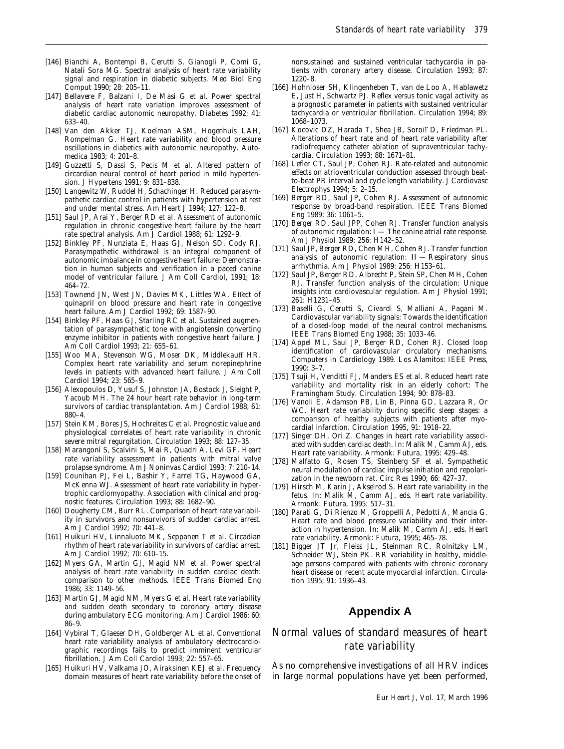- [146] Bianchi A, Bontempi B, Cerutti S, Gianogli P, Comi G, Natali Sora MG. Spectral analysis of heart rate variability signal and respiration in diabetic subjects. Med Biol Eng Comput 1990; 28: 205–11.
- [147] Bellavere F, Balzani I, De Masi G *et al*. Power spectral analysis of heart rate variation improves assessment of diabetic cardiac autonomic neuropathy. Diabetes 1992; 41: 633–40.
- [148] Van den Akker TJ, Koelman ASM, Hogenhuis LAH, Rompelman G. Heart rate variability and blood pressure oscillations in diabetics with autonomic neuropathy. Automedica 1983; 4: 201–8.
- [149] Guzzetti S, Dassi S, Pecis M *et al*. Altered pattern of circardian neural control of heart period in mild hypertension. J Hypertens 1991; 9: 831–838.
- [150] Langewitz W, Ruddel H, Schachinger H. Reduced parasympathetic cardiac control in patients with hypertension at rest and under mental stress. Am Heart J 1994; 127: 122–8.
- [151] Saul JP, Arai Y, Berger RD *et al*. Assessment of autonomic regulation in chronic congestive heart failure by the heart rate spectral analysis. Am J Cardiol 1988; 61: 1292–9.
- [152] Binkley PF, Nunziata E, Haas GJ, Nelson SD, Cody RJ. Parasympathetic withdrawal is an integral component of autonomic imbalance in congestive heart failure: Demonstration in human subjects and verification in a paced canine model of ventricular failure. J Am Coll Cardiol, 1991; 18: 464–72.
- [153] Townend JN, West JN, Davies MK, Littles WA. Effect of quinapril on blood pressure and heart rate in congestive heart failure. Am J Cardiol 1992; 69: 1587–90.
- [154] Binkley PF, Haas GJ, Starling RC *et al*. Sustained augmentation of parasympathetic tone with angiotensin converting enzyme inhibitor in patients with congestive heart failure. J Am Coll Cardiol 1993; 21: 655–61.
- [155] Woo MA, Stevenson WG, Moser DK, Middlekauff HR. Complex heart rate variability and serum norepinephrine levels in patients with advanced heart failure. J Am Coll Cardiol 1994; 23: 565–9.
- [156] Alexopoulos D, Yusuf S, Johnston JA, Bostock J, Sleight P, Yacoub MH. The 24 hour heart rate behavior in long-term survivors of cardiac transplantation. Am J Cardiol 1988; 61: 880–4.
- [157] Stein KM, Bores JS, Hochreites C *et al*. Prognostic value and physiological correlates of heart rate variability in chronic severe mitral regurgitation. Circulation 1993; 88: 127–35.
- [158] Marangoni S, Scalvini S, Mai R, Quadri A, Levi GF. Heart rate variability assessment in patients with mitral valve prolapse syndrome. Am J Noninvas Cardiol 1993; 7: 210–14.
- [159] Counihan PJ, Fei L, Bashir Y, Farrel TG, Haywood GA, McKenna WJ. Assessment of heart rate variability in hypertrophic cardiomyopathy. Association with clinical and prognostic features. Circulation 1993; 88: 1682–90.
- [160] Dougherty CM, Burr RL. Comparison of heart rate variability in survivors and nonsurvivors of sudden cardiac arrest. Am J Cardiol 1992; 70: 441–8.
- [161] Huikuri HV, Linnaluoto MK, Seppanen T *et al*. Circadian rhythm of heart rate variability in survivors of cardiac arrest. Am J Cardiol 1992; 70: 610–15.
- [162] Myers GA, Martin GJ, Magid NM *et al*. Power spectral analysis of heart rate variability in sudden cardiac death: comparison to other methods. IEEE Trans Biomed Eng 1986; 33: 1149–56.
- [163] Martin GJ, Magid NM, Myers G *et al*. Heart rate variability and sudden death secondary to coronary artery disease during ambulatory ECG monitoring. Am J Cardiol 1986; 60: 86–9.
- [164] Vybiral T, Glaeser DH, Goldberger AL *et al*. Conventional heart rate variability analysis of ambulatory electrocardiographic recordings fails to predict imminent ventricular fibrillation. J Am Coll Cardiol 1993; 22: 557–65.
- [165] Huikuri HV, Valkama JO, Airaksinen KEJ *et al*. Frequency domain measures of heart rate variability before the onset of

nonsustained and sustained ventricular tachycardia in patients with coronary artery disease. Circulation 1993; 87: 1220–8.

- [166] Hohnloser SH, Klingenheben T, van de Loo A, Hablawetz E, Just H, Schwartz PJ. Reflex versus tonic vagal activity as a prognostic parameter in patients with sustained ventricular tachycardia or ventricular fibrillation. Circulation 1994; 89: 1068–1073.
- [167] Kocovic DZ, Harada T, Shea JB, Soroff D, Friedman PL. Alterations of heart rate and of heart rate variability after radiofrequency catheter ablation of supraventricular tachycardia. Circulation 1993; 88: 1671–81.
- [168] Lefler CT, Saul JP, Cohen RJ. Rate-related and autonomic effects on atrioventricular conduction assessed through beatto-beat PR interval and cycle length variability. J Cardiovasc Electrophys 1994; 5: 2–15.
- [169] Berger RD, Saul JP, Cohen RJ. Assessment of autonomic response by broad-band respiration. IEEE Trans Biomed Eng 1989; 36: 1061–5.
- [170] Berger RD, Saul JPP, Cohen RJ. Transfer function analysis of autonomic regulation: I — The canine atrial rate response. Am J Physiol 1989; 256: H142-52.
- [171] Saul JP, Berger RD, Chen MH, Cohen RJ. Transfer function analysis of autonomic regulation:  $II$  - Respiratory sinus arrhythmia. Am J Physiol 1989; 256: H153–61.
- [172] Saul JP, Berger RD, Albrecht P, Stein SP, Chen MH, Cohen RJ. Transfer function analysis of the circulation: Unique insights into cardiovascular regulation. Am J Physiol 1991; 261: H1231–45.
- [173] Baselli G, Cerutti S, Civardi S, Malliani A, Pagani M. Cardiovascular variability signals: Towards the identification of a closed-loop model of the neural control mechanisms. IEEE Trans Biomed Eng 1988; 35: 1033–46.
- [174] Appel ML, Saul JP, Berger RD, Cohen RJ. Closed loop identification of cardiovascular circulatory mechanisms. Computers in Cardiology 1989. Los Alamitos: IEEE Press,  $1990 \cdot 3 - 7$
- [175] Tsuji H, Venditti FJ, Manders ES *et al*. Reduced heart rate variability and mortality risk in an elderly cohort: The Framingham Study. Circulation 1994; 90: 878–83.
- [176] Vanoli E, Adamson PB, Lin B, Pinna GD, Lazzara R, Or WC. Heart rate variability during specific sleep stages: a comparison of healthy subjects with patients after myocardial infarction. Circulation 1995, 91: 1918–22.
- [177] Singer DH, Ori Z. Changes in heart rate variability associated with sudden cardiac death. In: Malik M, Camm AJ, eds. Heart rate variability. Armonk: Futura, 1995: 429–48.
- [178] Malfatto G, Rosen TS, Steinberg SF *et al*. Sympathetic neural modulation of cardiac impulse initiation and repolarization in the newborn rat. Circ Res 1990; 66: 427–37.
- [179] Hirsch M, Karin J, Akselrod S. Heart rate variability in the fetus. In: Malik M, Camm AJ, eds. Heart rate variability. Armonk: Futura, 1995: 517–31.
- [180] Parati G, Di Rienzo M, Groppelli A, Pedotti A, Mancia G. Heart rate and blood pressure variability and their interaction in hypertension. In: Malik M, Camm AJ, eds. Heart rate variability. Armonk: Futura, 1995; 465–78.
- [181] Bigger JT Jr, Fleiss JL, Steinman RC, Rolnitzky LM, Schneider WJ, Stein PK. RR variability in healthy, middleage persons compared with patients with chronic coronary heart disease or recent acute myocardial infarction. Circulation 1995; 91: 1936–43.

### **Appendix A**

# *Normal values of standard measures of heart rate variability*

As no comprehensive investigations of all HRV indices in large normal populations have yet been performed,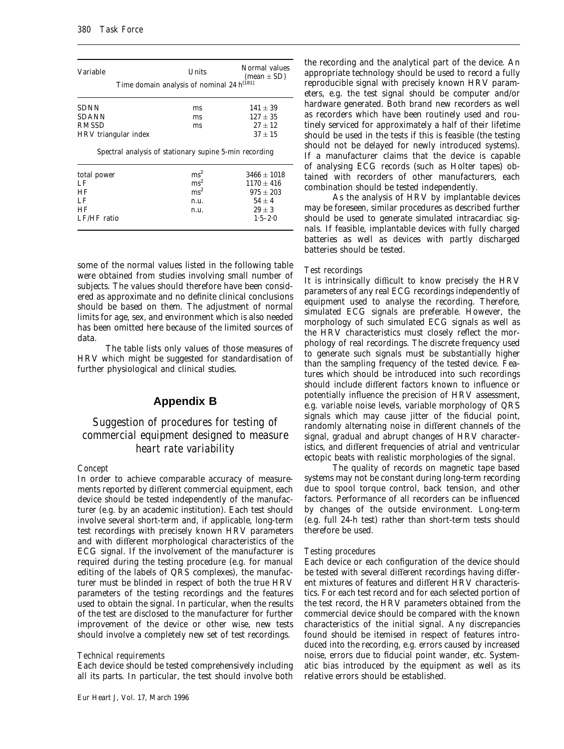| Variable             | Units<br>Time domain analysis of nominal 24 h <sup>[181]</sup> | Normal values<br>$(mean \pm SD)$ |
|----------------------|----------------------------------------------------------------|----------------------------------|
| <b>SDNN</b>          | ms                                                             | $141 \pm 39$                     |
| <b>SDANN</b>         | ms                                                             | $127 \pm 35$                     |
| <b>RMSSD</b>         | ms                                                             | $27 \pm 12$                      |
| HRV triangular index |                                                                | $37 \pm 15$                      |
|                      | Spectral analysis of stationary supine 5-min recording         |                                  |
| total power          | $\text{ms}^2$                                                  | $3466 \pm 1018$                  |
| LЕ                   | $me^2$                                                         | $1170 + 416$                     |

| LF          | $\text{ms}^2$ | $1170 \pm 416$ |
|-------------|---------------|----------------|
| HF          | $\text{ms}^2$ | $975 \pm 203$  |
| LF          | n.u.          | $54 \pm 4$     |
| HF          | n.u.          | $29 \pm 3$     |
| LF/HF ratio |               | $1.5 - 2.0$    |
|             |               |                |

some of the normal values listed in the following table were obtained from studies involving small number of subjects. The values should therefore have been considered as approximate and no definite clinical conclusions should be based on them. The adjustment of normal limits for age, sex, and environment which is also needed has been omitted here because of the limited sources of data.

The table lists only values of those measures of HRV which might be suggested for standardisation of further physiological and clinical studies.

# **Appendix B**

# *Suggestion of procedures for testing of commercial equipment designed to measure heart rate variability*

### *Concept*

In order to achieve comparable accuracy of measurements reported by different commercial equipment, each device should be tested independently of the manufacturer (e.g. by an academic institution). Each test should involve several short-term and, if applicable, long-term test recordings with precisely known HRV parameters and with different morphological characteristics of the ECG signal. If the involvement of the manufacturer is required during the testing procedure (e.g. for manual editing of the labels of QRS complexes), the manufacturer must be blinded in respect of both the true HRV parameters of the testing recordings and the features used to obtain the signal. In particular, when the results of the test are disclosed to the manufacturer for further improvement of the device or other wise, new tests should involve a completely new set of test recordings.

#### *Technical requirements*

Each device should be tested comprehensively including all its parts. In particular, the test should involve both

the recording and the analytical part of the device. An appropriate technology should be used to record a fully reproducible signal with precisely known HRV parameters, e.g. the test signal should be computer and/or hardware generated. Both brand new recorders as well as recorders which have been routinely used and routinely serviced for approximately a half of their lifetime should be used in the tests if this is feasible (the testing should not be delayed for newly introduced systems). If a manufacturer claims that the device is capable of analysing ECG records (such as Holter tapes) obtained with recorders of other manufacturers, each combination should be tested independently.

As the analysis of HRV by implantable devices may be foreseen, similar procedures as described further should be used to generate simulated intracardiac signals. If feasible, implantable devices with fully charged batteries as well as devices with partly discharged batteries should be tested.

### *Test recordings*

It is intrinsically difficult to know precisely the HRV parameters of any real ECG recordings independently of equipment used to analyse the recording. Therefore, simulated ECG signals are preferable. However, the morphology of such simulated ECG signals as well as the HRV characteristics must closely reflect the morphology of real recordings. The discrete frequency used to generate such signals must be substantially higher than the sampling frequency of the tested device. Features which should be introduced into such recordings should include different factors known to influence or potentially influence the precision of HRV assessment, e.g. variable noise levels, variable morphology of QRS signals which may cause jitter of the fiducial point, randomly alternating noise in different channels of the signal, gradual and abrupt changes of HRV characteristics, and different frequencies of atrial and ventricular ectopic beats with realistic morphologies of the signal.

The quality of records on magnetic tape based systems may not be constant during long-term recording due to spool torque control, back tension, and other factors. Performance of all recorders can be influenced by changes of the outside environment. Long-term (e.g. full 24-h test) rather than short-term tests should therefore be used.

### *Testing procedures*

Each device or each configuration of the device should be tested with several different recordings having different mixtures of features and different HRV characteristics. For each test record and for each selected portion of the test record, the HRV parameters obtained from the commercial device should be compared with the known characteristics of the initial signal. Any discrepancies found should be itemised in respect of features introduced into the recording, e.g. errors caused by increased noise, errors due to fiducial point wander, etc. Systematic bias introduced by the equipment as well as its relative errors should be established.